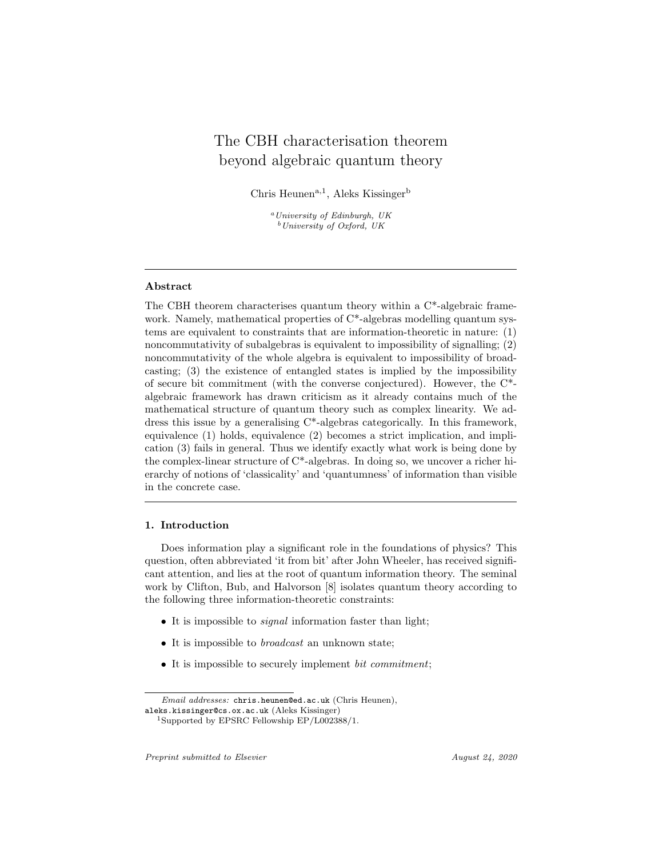# The CBH characterisation theorem beyond algebraic quantum theory

Chris Heunen<sup>a, 1</sup>, Aleks Kissinger<sup>b</sup>

 $a$ University of Edinburgh, UK  $b$  University of Oxford, UK

#### Abstract

The CBH theorem characterises quantum theory within a C\*-algebraic framework. Namely, mathematical properties of  $C^*$ -algebras modelling quantum systems are equivalent to constraints that are information-theoretic in nature: (1) noncommutativity of subalgebras is equivalent to impossibility of signalling; (2) noncommutativity of the whole algebra is equivalent to impossibility of broadcasting; (3) the existence of entangled states is implied by the impossibility of secure bit commitment (with the converse conjectured). However, the C\* algebraic framework has drawn criticism as it already contains much of the mathematical structure of quantum theory such as complex linearity. We address this issue by a generalising C\*-algebras categorically. In this framework, equivalence (1) holds, equivalence (2) becomes a strict implication, and implication (3) fails in general. Thus we identify exactly what work is being done by the complex-linear structure of C\*-algebras. In doing so, we uncover a richer hierarchy of notions of 'classicality' and 'quantumness' of information than visible in the concrete case.

#### 1. Introduction

Does information play a significant role in the foundations of physics? This question, often abbreviated 'it from bit' after John Wheeler, has received significant attention, and lies at the root of quantum information theory. The seminal work by Clifton, Bub, and Halvorson [8] isolates quantum theory according to the following three information-theoretic constraints:

- It is impossible to *signal* information faster than light;
- It is impossible to *broadcast* an unknown state;
- It is impossible to securely implement *bit commitment*;

Email addresses: chris.heunen@ed.ac.uk (Chris Heunen),

aleks.kissinger@cs.ox.ac.uk (Aleks Kissinger)

<sup>1</sup>Supported by EPSRC Fellowship EP/L002388/1.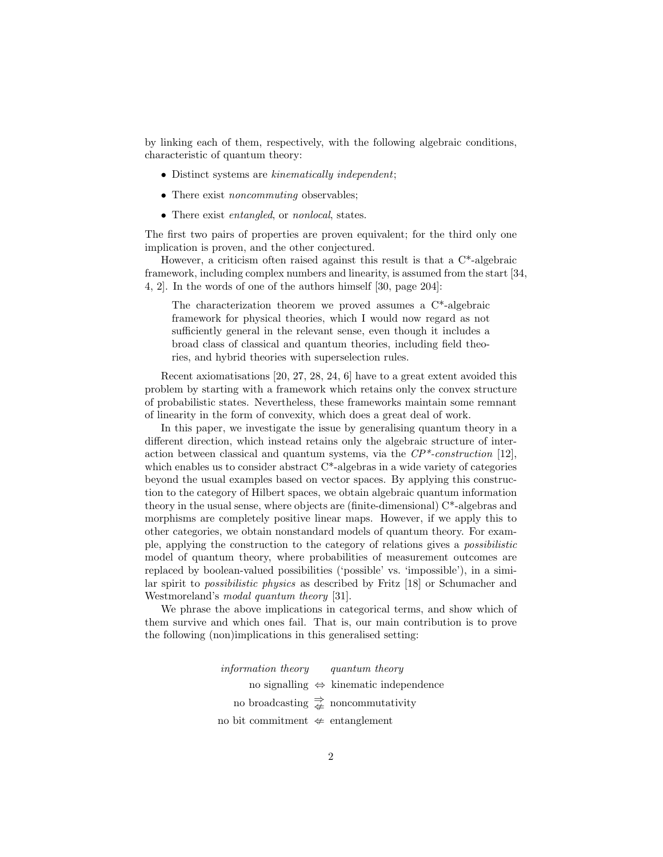by linking each of them, respectively, with the following algebraic conditions, characteristic of quantum theory:

- Distinct systems are kinematically independent;
- There exist *noncommuting* observables;
- There exist *entangled*, or *nonlocal*, states.

The first two pairs of properties are proven equivalent; for the third only one implication is proven, and the other conjectured.

However, a criticism often raised against this result is that a  $C^*$ -algebraic framework, including complex numbers and linearity, is assumed from the start [34, 4, 2]. In the words of one of the authors himself [30, page 204]:

The characterization theorem we proved assumes a C\*-algebraic framework for physical theories, which I would now regard as not sufficiently general in the relevant sense, even though it includes a broad class of classical and quantum theories, including field theories, and hybrid theories with superselection rules.

Recent axiomatisations [20, 27, 28, 24, 6] have to a great extent avoided this problem by starting with a framework which retains only the convex structure of probabilistic states. Nevertheless, these frameworks maintain some remnant of linearity in the form of convexity, which does a great deal of work.

In this paper, we investigate the issue by generalising quantum theory in a different direction, which instead retains only the algebraic structure of interaction between classical and quantum systems, via the  $\mathbb{CP}^*$ -construction [12], which enables us to consider abstract  $C^*$ -algebras in a wide variety of categories beyond the usual examples based on vector spaces. By applying this construction to the category of Hilbert spaces, we obtain algebraic quantum information theory in the usual sense, where objects are (finite-dimensional) C\*-algebras and morphisms are completely positive linear maps. However, if we apply this to other categories, we obtain nonstandard models of quantum theory. For example, applying the construction to the category of relations gives a possibilistic model of quantum theory, where probabilities of measurement outcomes are replaced by boolean-valued possibilities ('possible' vs. 'impossible'), in a similar spirit to possibilistic physics as described by Fritz [18] or Schumacher and Westmoreland's modal quantum theory [31].

We phrase the above implications in categorical terms, and show which of them survive and which ones fail. That is, our main contribution is to prove the following (non)implications in this generalised setting:

> information theory quantum theory no signalling ⇔ kinematic independence no broadcasting  $\Rightarrow$  noncommutativity no bit commitment  $\text{L}$  entanglement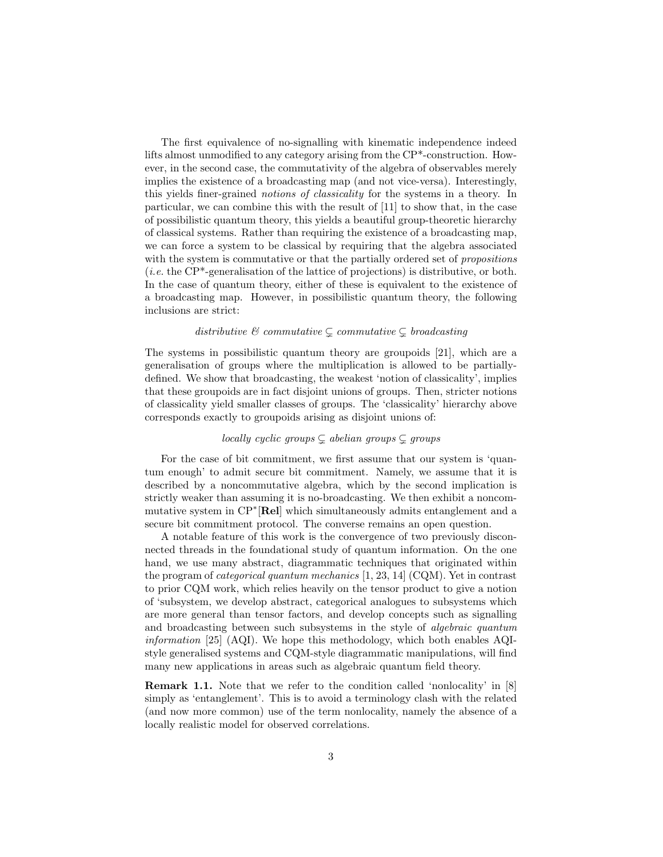The first equivalence of no-signalling with kinematic independence indeed lifts almost unmodified to any category arising from the CP\*-construction. However, in the second case, the commutativity of the algebra of observables merely implies the existence of a broadcasting map (and not vice-versa). Interestingly, this yields finer-grained notions of classicality for the systems in a theory. In particular, we can combine this with the result of [11] to show that, in the case of possibilistic quantum theory, this yields a beautiful group-theoretic hierarchy of classical systems. Rather than requiring the existence of a broadcasting map, we can force a system to be classical by requiring that the algebra associated with the system is commutative or that the partially ordered set of *propositions* (*i.e.* the  $\text{CP*}\text{-generalisation}$  of the lattice of projections) is distributive, or both. In the case of quantum theory, either of these is equivalent to the existence of a broadcasting map. However, in possibilistic quantum theory, the following inclusions are strict:

#### distributive  $\mathcal C$  commutative  $\subsetneq$  commutative  $\subsetneq$  broadcasting

The systems in possibilistic quantum theory are groupoids [21], which are a generalisation of groups where the multiplication is allowed to be partiallydefined. We show that broadcasting, the weakest 'notion of classicality', implies that these groupoids are in fact disjoint unions of groups. Then, stricter notions of classicality yield smaller classes of groups. The 'classicality' hierarchy above corresponds exactly to groupoids arising as disjoint unions of:

## locally cyclic groups  $\subsetneq$  abelian groups  $\subsetneq$  groups

For the case of bit commitment, we first assume that our system is 'quantum enough' to admit secure bit commitment. Namely, we assume that it is described by a noncommutative algebra, which by the second implication is strictly weaker than assuming it is no-broadcasting. We then exhibit a noncommutative system in CP<sup>∗</sup>[Rel] which simultaneously admits entanglement and a secure bit commitment protocol. The converse remains an open question.

A notable feature of this work is the convergence of two previously disconnected threads in the foundational study of quantum information. On the one hand, we use many abstract, diagrammatic techniques that originated within the program of categorical quantum mechanics [1, 23, 14] (CQM). Yet in contrast to prior CQM work, which relies heavily on the tensor product to give a notion of 'subsystem, we develop abstract, categorical analogues to subsystems which are more general than tensor factors, and develop concepts such as signalling and broadcasting between such subsystems in the style of algebraic quantum *information* [25]  $(AQI)$ . We hope this methodology, which both enables  $AQI$ style generalised systems and CQM-style diagrammatic manipulations, will find many new applications in areas such as algebraic quantum field theory.

Remark 1.1. Note that we refer to the condition called 'nonlocality' in [8] simply as 'entanglement'. This is to avoid a terminology clash with the related (and now more common) use of the term nonlocality, namely the absence of a locally realistic model for observed correlations.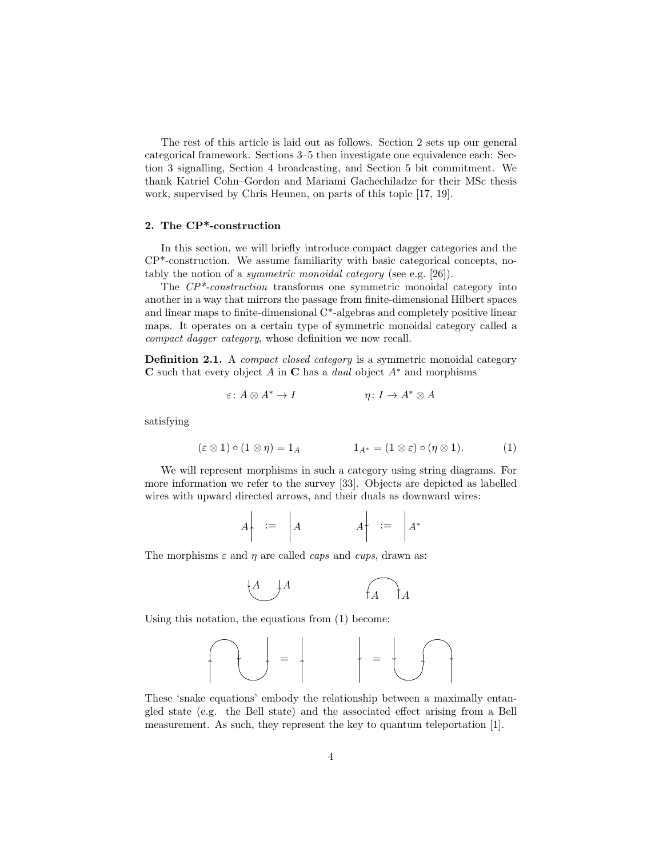The rest of this article is laid out as follows. Section 2 sets up our general categorical framework. Sections 3–5 then investigate one equivalence each: Section 3 signalling, Section 4 broadcasting, and Section 5 bit commitment. We thank Katriel Cohn–Gordon and Mariami Gachechiladze for their MSc thesis work, supervised by Chris Heunen, on parts of this topic [17, 19].

#### 2. The CP\*-construction

In this section, we will briefly introduce compact dagger categories and the CP\*-construction. We assume familiarity with basic categorical concepts, notably the notion of a symmetric monoidal category (see e.g. [26]).

The  $\mathbb{CP}^*$ -construction transforms one symmetric monoidal category into another in a way that mirrors the passage from finite-dimensional Hilbert spaces and linear maps to finite-dimensional C\*-algebras and completely positive linear maps. It operates on a certain type of symmetric monoidal category called a compact dagger category, whose definition we now recall.

Definition 2.1. A *compact closed category* is a symmetric monoidal category C such that every object A in C has a *dual* object  $A^*$  and morphisms

$$
\varepsilon: A \otimes A^* \to I \qquad \eta: I \to A^* \otimes A
$$

satisfying

$$
(\varepsilon \otimes 1) \circ (1 \otimes \eta) = 1_A \qquad \qquad 1_{A^*} = (1 \otimes \varepsilon) \circ (\eta \otimes 1). \tag{1}
$$

We will represent morphisms in such a category using string diagrams. For more information we refer to the survey [33]. Objects are depicted as labelled wires with upward directed arrows, and their duals as downward wires:

$$
A \begin{array}{|c|c|c|c|c|} \hline \ \ \end{array} \hspace{.25cm} \begin{array}{|c|c|c|c|c|} \hline \ \ \end{array} \hspace{.25cm} \begin{array}{|c|c|c|c|c|} \hline \ \ \end{array} \hspace{.25cm} \begin{array}{|c|c|c|c|} \hline \ \ \end{array} \hspace{.25cm} \begin{array}{|c|c|c|} \hline \ \ \end{array} \hspace{.25cm} \begin{array}{|c|c|c|} \hline \ \ \end{array} \hspace{.25cm} \begin{array}{|c|c|c|} \hline \ \ \end{array} \hspace{.25cm} \begin{array}{|c|c|c|} \hline \ \ \end{array} \hspace{.25cm} \begin{array}{|c|c|c|} \hline \ \ \end{array} \hspace{.25cm} \begin{array}{|c|c|c|} \hline \ \end{array} \hspace{.25cm} \begin{array}{|c|c|c|} \hline \ \end{array} \hspace{.25cm} \begin{array}{|c|c|c|} \hline \ \end{array} \hspace{.25cm} \begin{array}{|c|c|c|} \hline \ \end{array} \hspace{.25cm} \begin{array}{|c|c|c|} \hline \ \end{array} \hspace{.25cm} \begin{array}{|c|c|c|} \hline \ \end{array} \hspace{.25cm} \begin{array}{|c|c|c|} \hline \ \end{array} \hspace{.25cm} \begin{array}{|c|c|c|} \hline \ \end{array} \hspace{.25cm} \begin{array}{|c|c|c|} \hline \ \end{array} \hspace{.25cm} \begin{array}{|c|c|c|} \hline \ \end{array} \hspace{.25cm} \begin{array}{|c|c|c|} \hline \ \end{array} \hspace{.25cm} \begin{array}{|c|c|c|} \hline \ \end{array} \hspace{.25cm} \begin{array}{|c|c|c|} \hline \ \end{array} \hspace{.25cm} \begin{array}{|c|c|c|} \hline \ \end{array} \hspace{.25cm} \begin{array}{|c|c|c|} \hline \ \end{array}
$$

The morphisms  $\varepsilon$  and  $\eta$  are called *caps* and *cups*, drawn as:

$$
\begin{array}{ccc}\nA & A \\
\downarrow A & A\n\end{array}
$$

Using this notation, the equations from (1) become:

= = 

These 'snake equations' embody the relationship between a maximally entangled state (e.g. the Bell state) and the associated effect arising from a Bell measurement. As such, they represent the key to quantum teleportation [1].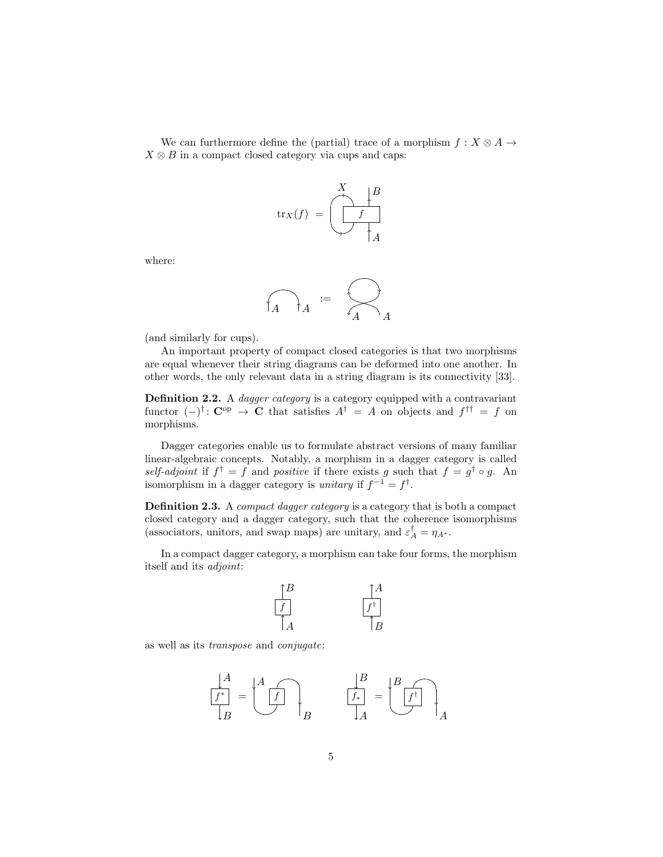We can furthermore define the (partial) trace of a morphism  $f: X \otimes A \rightarrow$  $X \otimes B$  in a compact closed category via cups and caps:



where:

$$
f_A \bigg|_{A} = \bigotimes_{A} A
$$

(and similarly for cups).

An important property of compact closed categories is that two morphisms are equal whenever their string diagrams can be deformed into one another. In other words, the only relevant data in a string diagram is its connectivity [33].

Definition 2.2. A *dagger category* is a category equipped with a contravariant functor  $(-)^{\dagger}$ : C<sup>op</sup>  $\rightarrow$  C that satisfies  $A^{\dagger} = A$  on objects and  $f^{\dagger \dagger} = f$  on morphisms.

Dagger categories enable us to formulate abstract versions of many familiar linear-algebraic concepts. Notably, a morphism in a dagger category is called self-adjoint if  $f^{\dagger} = f$  and positive if there exists g such that  $f = g^{\dagger} \circ g$ . An isomorphism in a dagger category is *unitary* if  $f^{-1} = f^{\dagger}$ .

Definition 2.3. A compact dagger category is a category that is both a compact closed category and a dagger category, such that the coherence isomorphisms (associators, unitors, and swap maps) are unitary, and  $\varepsilon_A^\dagger = \eta_{A^*}.$ 

In a compact dagger category, a morphism can take four forms, the morphism itself and its adjoint:



as well as its transpose and conjugate:

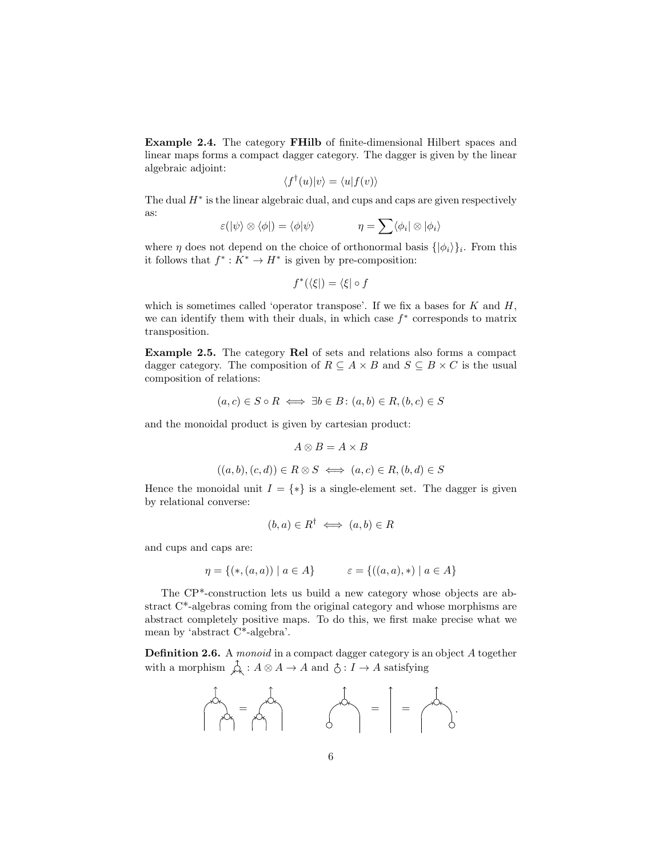Example 2.4. The category FHilb of finite-dimensional Hilbert spaces and linear maps forms a compact dagger category. The dagger is given by the linear algebraic adjoint:

$$
\langle f^{\dagger}(u)|v\rangle = \langle u|f(v)\rangle
$$

The dual  $H^*$  is the linear algebraic dual, and cups and caps are given respectively as:

$$
\varepsilon(|\psi\rangle \otimes \langle \phi|) = \langle \phi|\psi\rangle \qquad \qquad \eta = \sum \langle \phi_i| \otimes |\phi_i\rangle
$$

where  $\eta$  does not depend on the choice of orthonormal basis  $\{\ket{\phi_i}\}_i$ . From this it follows that  $f^*: K^* \to H^*$  is given by pre-composition:

$$
f^*(\langle \xi |) = \langle \xi | \circ f
$$

which is sometimes called 'operator transpose'. If we fix a bases for  $K$  and  $H$ , we can identify them with their duals, in which case  $f^*$  corresponds to matrix transposition.

Example 2.5. The category Rel of sets and relations also forms a compact dagger category. The composition of  $R \subseteq A \times B$  and  $S \subseteq B \times C$  is the usual composition of relations:

$$
(a, c) \in S \circ R \iff \exists b \in B : (a, b) \in R, (b, c) \in S
$$

and the monoidal product is given by cartesian product:

$$
A\otimes B=A\times B
$$

$$
((a, b), (c, d)) \in R \otimes S \iff (a, c) \in R, (b, d) \in S
$$

Hence the monoidal unit  $I = \{*\}$  is a single-element set. The dagger is given by relational converse:

$$
(b, a) \in R^{\dagger} \iff (a, b) \in R
$$

and cups and caps are:

$$
\eta = \{ (*, (a, a)) \mid a \in A \} \qquad \varepsilon = \{ ((a, a), *) \mid a \in A \}
$$

The CP\*-construction lets us build a new category whose objects are abstract C\*-algebras coming from the original category and whose morphisms are abstract completely positive maps. To do this, we first make precise what we mean by 'abstract C\*-algebra'.

Definition 2.6. A *monoid* in a compact dagger category is an object A together with a morphism  $\hat{A} : A \otimes A \to A$  and  $\hat{C} : I \to A$  satisfying

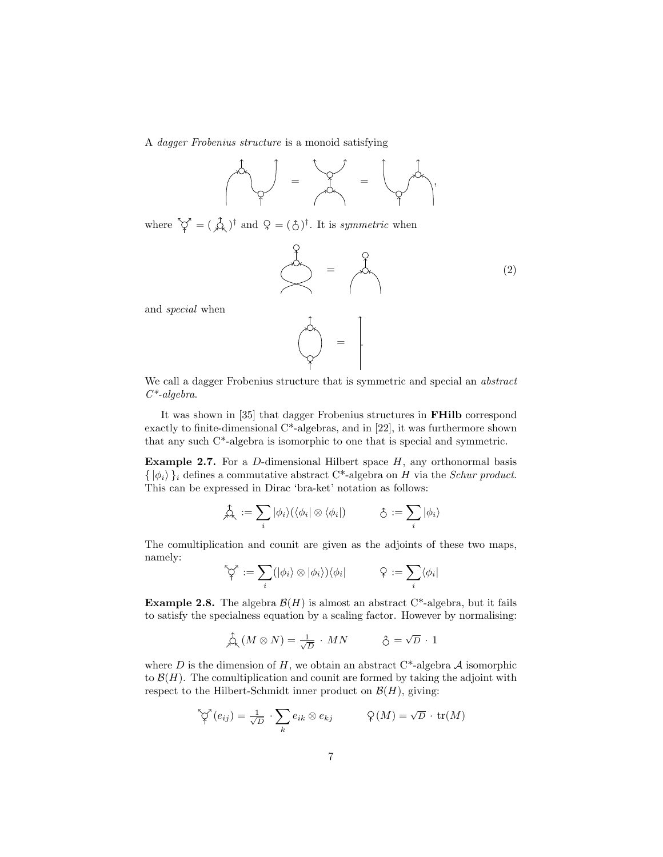A dagger Frobenius structure is a monoid satisfying

$$
\int_{\gamma}^{\gamma} \int_{\gamma}^{\gamma} \rho(x) \, dx = \int_{\gamma}^{\gamma} \int_{\gamma}^{\gamma} \rho(x) \, dx
$$

where  $\hat{\varphi} = (\hat{\varphi})^{\dagger}$  and  $\varphi = (\hat{\varphi})^{\dagger}$ . It is *symmetric* when

$$
\begin{pmatrix}\n0 \\
0 \\
0\n\end{pmatrix} = \begin{pmatrix}\n0 \\
0 \\
0\n\end{pmatrix}
$$
\n(2)

and special when

$$
\begin{pmatrix} 1 & 1 & 1 \\ 1 & 1 & 1 \\ 1 & 1 & 1 \end{pmatrix}
$$

We call a dagger Frobenius structure that is symmetric and special an abstract  $C^*$ -algebra.

It was shown in [35] that dagger Frobenius structures in FHilb correspond exactly to finite-dimensional  $C^*$ -algebras, and in [22], it was furthermore shown that any such C\*-algebra is isomorphic to one that is special and symmetric.

**Example 2.7.** For a D-dimensional Hilbert space  $H$ , any orthonormal basis  $\{ | \phi_i \rangle \}_i$  defines a commutative abstract C\*-algebra on H via the Schur product. This can be expressed in Dirac 'bra-ket' notation as follows:

$$
\hat{\beta}_{\kappa} := \sum_{i} |\phi_{i}\rangle (\langle \phi_{i} | \otimes \langle \phi_{i} |)
$$
 
$$
\hat{\zeta} := \sum_{i} |\phi_{i}\rangle
$$

The comultiplication and counit are given as the adjoints of these two maps, namely:

$$
\bigcirc\!\!\!\bigcirc_i^\gamma := \sum_i (|\phi_i\rangle \otimes |\phi_i\rangle) \langle \phi_i| \qquad \qquad \mathcal{Q} := \sum_i \langle \phi_i|
$$

**Example 2.8.** The algebra  $\mathcal{B}(H)$  is almost an abstract C\*-algebra, but it fails to satisfy the specialness equation by a scaling factor. However by normalising:

$$
\stackrel{4}{\bigoplus} (M \otimes N) = \frac{1}{\sqrt{D}} \cdot MN \qquad \qquad \hat{\bigcirc} = \sqrt{D} \cdot 1
$$

where D is the dimension of H, we obtain an abstract  $C^*$ -algebra A isomorphic to  $\mathcal{B}(H)$ . The comultiplication and counit are formed by taking the adjoint with respect to the Hilbert-Schmidt inner product on  $\mathcal{B}(H)$ , giving:

$$
\bigotimes^{\bullet} (e_{ij}) = \frac{1}{\sqrt{D}} \cdot \sum_{k} e_{ik} \otimes e_{kj} \qquad \mathcal{Q}(M) = \sqrt{D} \cdot \text{tr}(M)
$$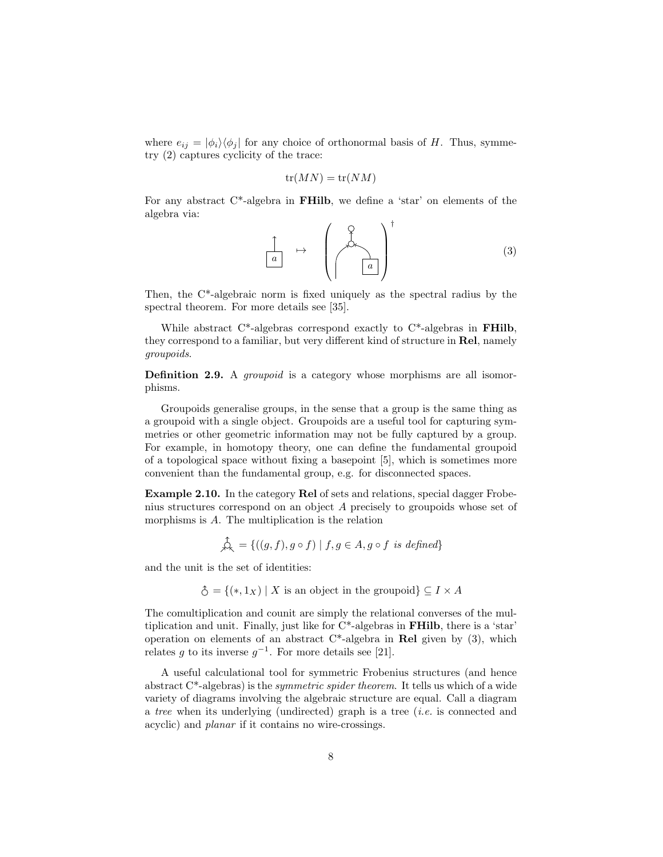where  $e_{ij} = |\phi_i\rangle\langle\phi_j|$  for any choice of orthonormal basis of H. Thus, symmetry (2) captures cyclicity of the trace:

$$
\operatorname{tr}(MN) = \operatorname{tr}(NM)
$$

For any abstract  $C^*$ -algebra in **FHilb**, we define a 'star' on elements of the algebra via:

$$
\begin{array}{ccc}\n\begin{pmatrix}\n\circ & & & \\
\circ & & & \\
\hline\na & & & \\
\end{pmatrix} & & & \\
\end{array}
$$
 (3)

Then, the C\*-algebraic norm is fixed uniquely as the spectral radius by the spectral theorem. For more details see [35].

While abstract C<sup>\*</sup>-algebras correspond exactly to C<sup>\*</sup>-algebras in **FHilb**, they correspond to a familiar, but very different kind of structure in Rel, namely groupoids.

Definition 2.9. A *groupoid* is a category whose morphisms are all isomorphisms.

Groupoids generalise groups, in the sense that a group is the same thing as a groupoid with a single object. Groupoids are a useful tool for capturing symmetries or other geometric information may not be fully captured by a group. For example, in homotopy theory, one can define the fundamental groupoid of a topological space without fixing a basepoint [5], which is sometimes more convenient than the fundamental group, e.g. for disconnected spaces.

Example 2.10. In the category Rel of sets and relations, special dagger Frobenius structures correspond on an object A precisely to groupoids whose set of morphisms is A. The multiplication is the relation

$$
\hat{\mathcal{A}} = \{ ((g, f), g \circ f) \mid f, g \in A, g \circ f \text{ is defined} \}
$$

and the unit is the set of identities:

 $\hat{\circ} = \{(*, 1_X) | X \text{ is an object in the groupoid}\}\subseteq I \times A$ 

The comultiplication and counit are simply the relational converses of the multiplication and unit. Finally, just like for C\*-algebras in FHilb, there is a 'star' operation on elements of an abstract  $C^*$ -algebra in Rel given by (3), which relates g to its inverse  $g^{-1}$ . For more details see [21].

A useful calculational tool for symmetric Frobenius structures (and hence abstract  $C^*$ -algebras) is the *symmetric spider theorem*. It tells us which of a wide variety of diagrams involving the algebraic structure are equal. Call a diagram a tree when its underlying (undirected) graph is a tree  $(i.e.$  is connected and acyclic) and planar if it contains no wire-crossings.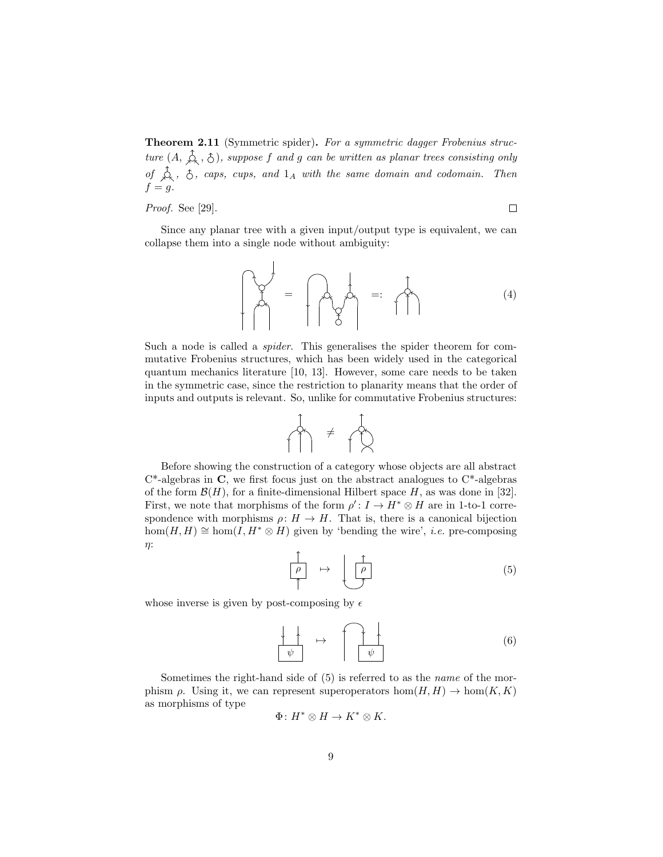Theorem 2.11 (Symmetric spider). For a symmetric dagger Frobenius structure  $(A, \hat{A}, \hat{A})$ , suppose f and g can be written as planar trees consisting only of  $\hat{A}$ ,  $\hat{C}$ , caps, cups, and  $1_A$  with the same domain and codomain. Then  $f = g$ .

Proof. See [29].

 $\Box$ 

Since any planar tree with a given input/output type is equivalent, we can collapse them into a single node without ambiguity:

$$
\begin{bmatrix} 1 & 1 & 1 \\ 1 & 1 & 1 \\ 1 & 1 & 1 \end{bmatrix} = \begin{bmatrix} 1 & 1 & 1 \\ 1 & 1 & 1 \\ 1 & 1 & 1 \end{bmatrix} = \begin{bmatrix} 1 & 1 & 1 \\ 1 & 1 & 1 \\ 1 & 1 & 1 \end{bmatrix} = \begin{bmatrix} 1 & 1 & 1 \\ 1 & 1 & 1 \\ 1 & 1 & 1 \end{bmatrix} = \begin{bmatrix} 1 & 1 & 1 \\ 1 & 1 & 1 \\ 1 & 1 & 1 \end{bmatrix} = \begin{bmatrix} 1 & 1 & 1 \\ 1 & 1 & 1 \\ 1 & 1 & 1 \end{bmatrix} = \begin{bmatrix} 1 & 1 & 1 \\ 1 & 1 & 1 \\ 1 & 1 & 1 \end{bmatrix} = \begin{bmatrix} 1 & 1 & 1 \\ 1 & 1 & 1 \\ 1 & 1 & 1 \end{bmatrix} = \begin{bmatrix} 1 & 1 & 1 \\ 1 & 1 & 1 \\ 1 & 1 & 1 \end{bmatrix} = \begin{bmatrix} 1 & 1 & 1 \\ 1 & 1 & 1 \\ 1 & 1 & 1 \end{bmatrix} = \begin{bmatrix} 1 & 1 & 1 \\ 1 & 1 & 1 \\ 1 & 1 & 1 \end{bmatrix} = \begin{bmatrix} 1 & 1 & 1 \\ 1 & 1 & 1 \\ 1 & 1 & 1 \end{bmatrix} = \begin{bmatrix} 1 & 1 & 1 \\ 1 & 1 & 1 \\ 1 & 1 & 1 \end{bmatrix} = \begin{bmatrix} 1 & 1 & 1 \\ 1 & 1 & 1 \\ 1 & 1 & 1 \end{bmatrix} = \begin{bmatrix} 1 & 1 & 1 \\ 1 & 1 & 1 \\ 1 & 1 & 1 \end{bmatrix} = \begin{bmatrix} 1 & 1 & 1 \\ 1 & 1 & 1 \\ 1 & 1 & 1 \end{bmatrix} = \begin{bmatrix} 1 & 1 & 1 \\ 1 & 1 & 1 \\ 1 & 1 & 1 \end{bmatrix} = \begin{bmatrix} 1 & 1 & 1 \\ 1 & 1 & 1 \\ 1 & 1 & 1 \end{bmatrix} = \begin{bmatrix} 1 & 1 & 1 \\ 1 & 1 & 1 \\ 1 & 1 & 1 \end{bmatrix} = \begin{bmatrix} 1 & 1 & 1 \\ 1 &
$$

Such a node is called a spider. This generalises the spider theorem for commutative Frobenius structures, which has been widely used in the categorical quantum mechanics literature [10, 13]. However, some care needs to be taken in the symmetric case, since the restriction to planarity means that the order of inputs and outputs is relevant. So, unlike for commutative Frobenius structures:



Before showing the construction of a category whose objects are all abstract  $C^*$ -algebras in C, we first focus just on the abstract analogues to  $C^*$ -algebras of the form  $\mathcal{B}(H)$ , for a finite-dimensional Hilbert space H, as was done in [32]. First, we note that morphisms of the form  $\rho' : I \to H^* \otimes H$  are in 1-to-1 correspondence with morphisms  $\rho: H \to H$ . That is, there is a canonical bijection hom $(H, H) \cong \text{hom}(I, H^* \otimes H)$  given by 'bending the wire', *i.e.* pre-composing η:

$$
\begin{array}{c}\n\uparrow \\
\hline\n\rho \\
\uparrow\n\end{array} \rightarrow \begin{array}{c}\n\uparrow \\
\hline\n\rho \\
\downarrow\n\end{array} \tag{5}
$$

whose inverse is given by post-composing by  $\epsilon$ 

$$
\begin{array}{|c|c|c|}\n\hline\n\downarrow & \rightarrow & \uparrow \\
\hline\n\psi & & \psi\n\end{array} \tag{6}
$$

Sometimes the right-hand side of  $(5)$  is referred to as the *name* of the morphism  $\rho$ . Using it, we can represent superoperators  $hom(H, H) \to hom(K, K)$ as morphisms of type

$$
\Phi\colon H^*\otimes H\to K^*\otimes K.
$$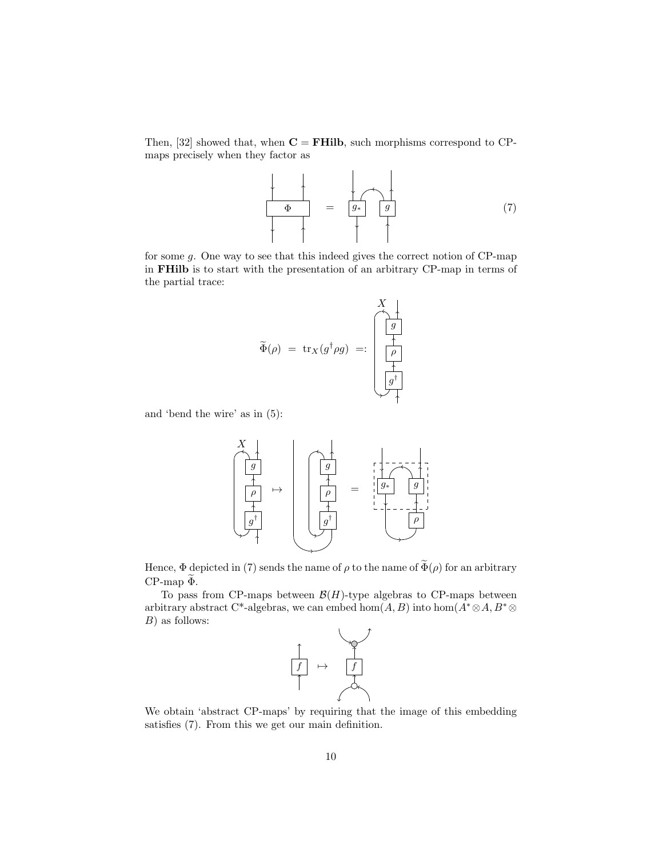Then, [32] showed that, when  $C = FHilb$ , such morphisms correspond to CPmaps precisely when they factor as

$$
\begin{array}{|c|c|c|}\n\hline\n\Phi & = & g \\
\hline\n\end{array}
$$
 (7)

for some g. One way to see that this indeed gives the correct notion of CP-map in FHilb is to start with the presentation of an arbitrary CP-map in terms of the partial trace:

$$
\widetilde{\Phi}(\rho) = \operatorname{tr}_X(g^{\dagger} \rho g) =: \begin{pmatrix} X \\ g \\ h \\ h \\ \hline f \\ g^{\dagger} \\ \hline \end{pmatrix}
$$

and 'bend the wire' as in (5):



Hence,  $\Phi$  depicted in (7) sends the name of  $\rho$  to the name of  $\widetilde{\Phi}(\rho)$  for an arbitrary  $CP$ -map  $\tilde{\Phi}$ .

To pass from CP-maps between  $\mathcal{B}(H)$ -type algebras to CP-maps between arbitrary abstract C\*-algebras, we can embed hom $(A, B)$  into hom $(A^* \otimes A, B^* \otimes A)$ B) as follows:



We obtain 'abstract CP-maps' by requiring that the image of this embedding satisfies (7). From this we get our main definition.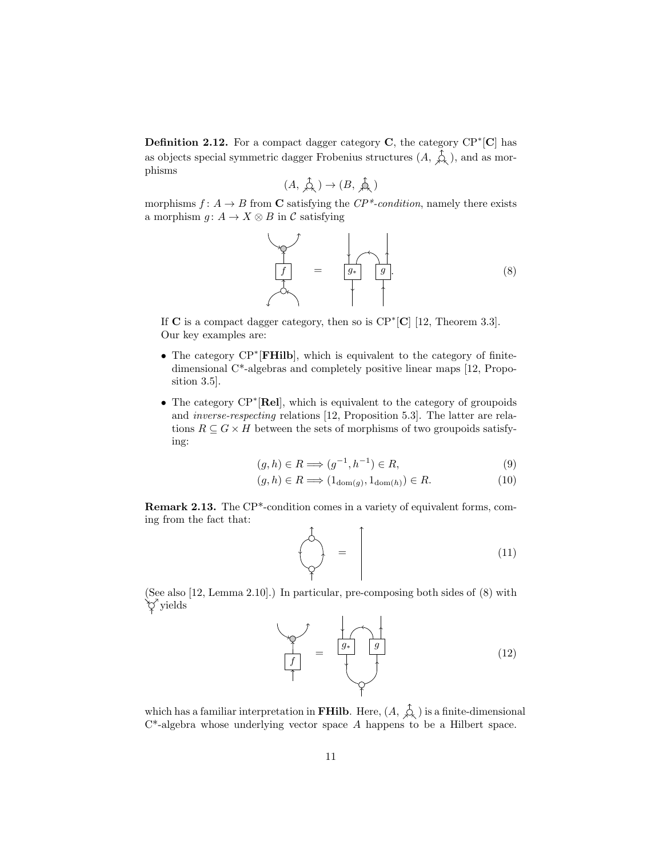**Definition 2.12.** For a compact dagger category  $C$ , the category  $CP^*[C]$  has as objects special symmetric dagger Frobenius structures  $(A, \hat{\mathcal{L}})$ , and as morphisms

$$
(A, \mathop{\mathrm{A}}\limits^{\mathcal{A}}_{\mathcal{A}}) \to (B, \mathop{\mathrm{A}}\limits^{\mathcal{A}}_{\mathcal{A}})
$$

morphisms  $f: A \to B$  from C satisfying the  $\mathbb{CP}^*$ -condition, namely there exists a morphism  $q: A \to X \otimes B$  in C satisfying

$$
\begin{array}{|c|c|c|}\n\hline\n\end{array}\n\qquad = \qquad\n\begin{array}{|c|c|}\n\hline\ng_* & g \\
\hline\n\end{array}
$$
\n(8)

If  $C$  is a compact dagger category, then so is  $\text{CP}^*[\textbf{C}]$  [12, Theorem 3.3]. Our key examples are:

- The category CP<sup>∗</sup> [FHilb], which is equivalent to the category of finitedimensional C\*-algebras and completely positive linear maps [12, Proposition 3.5].
- The category CP<sup>∗</sup> [Rel], which is equivalent to the category of groupoids and inverse-respecting relations [12, Proposition 5.3]. The latter are relations  $R \subseteq G \times H$  between the sets of morphisms of two groupoids satisfying:

$$
(g,h)\in R \Longrightarrow (g^{-1},h^{-1})\in R,\tag{9}
$$

$$
(g, h) \in R \Longrightarrow (1_{\text{dom}(g)}, 1_{\text{dom}(h)}) \in R. \tag{10}
$$

Remark 2.13. The CP\*-condition comes in a variety of equivalent forms, coming from the fact that:

$$
\begin{pmatrix} 1 \\ 1 \end{pmatrix} = \begin{pmatrix} 11 \end{pmatrix}
$$

(See also [12, Lemma 2.10].) In particular, pre-composing both sides of (8) with yields

$$
\begin{array}{|c|c|c|}\n\hline\n\end{array}\n\qquad =\n\begin{array}{|c|c|}\n\hline\ng \\
\hline\n\end{array}\n\qquad (12)
$$

which has a familiar interpretation in **FHilb**. Here,  $(A, \overrightarrow{A})$  is a finite-dimensional  $C^*$ -algebra whose underlying vector space A happens to be a Hilbert space.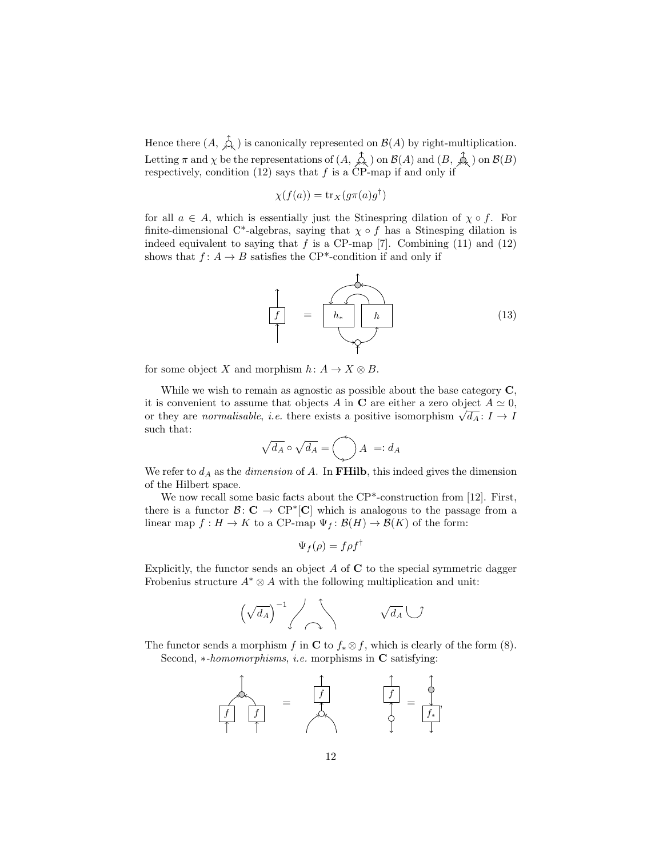Hence there  $(A, \overrightarrow{A})$  is canonically represented on  $\mathcal{B}(A)$  by right-multiplication. Letting  $\pi$  and  $\chi$  be the representations of  $(A, \varphi)$  on  $\mathcal{B}(A)$  and  $(B, \varphi)$  on  $\mathcal{B}(B)$ respectively, condition  $(12)$  says that f is a CP-map if and only if

$$
\chi(f(a)) = \operatorname{tr}_X(g\pi(a)g^{\dagger})
$$

for all  $a \in A$ , which is essentially just the Stinespring dilation of  $\chi \circ f$ . For finite-dimensional C<sup>\*</sup>-algebras, saying that  $\chi \circ f$  has a Stinesping dilation is indeed equivalent to saying that  $f$  is a CP-map [7]. Combining (11) and (12) shows that  $f: A \to B$  satisfies the CP<sup>\*</sup>-condition if and only if



for some object X and morphism  $h: A \to X \otimes B$ .

While we wish to remain as agnostic as possible about the base category  $\mathbf{C}$ , it is convenient to assume that objects A in C are either a zero object  $A \simeq 0$ , The is convenient to assume that objects A in C are either a zero object  $A \cong 0$ ,<br>or they are *normalisable*, *i.e.* there exists a positive isomorphism  $\sqrt{d_A}$ :  $I \to I$ such that:

$$
\sqrt{d_A} \circ \sqrt{d_A} = \bigotimes A =: d_A
$$

We refer to  $d_A$  as the *dimension* of A. In FHilb, this indeed gives the dimension of the Hilbert space.

We now recall some basic facts about the CP<sup>\*</sup>-construction from [12]. First, there is a functor  $\mathcal{B}: \mathbf{C} \to \mathbf{CP}^*[\mathbf{C}]$  which is analogous to the passage from a linear map  $f: H \to K$  to a CP-map  $\Psi_f: \mathcal{B}(H) \to \mathcal{B}(K)$  of the form:

$$
\Psi_f(\rho) = f \rho f^\dagger
$$

Explicitly, the functor sends an object  $A$  of  $C$  to the special symmetric dagger Frobenius structure  $A^* \otimes A$  with the following multiplication and unit:



The functor sends a morphism f in C to  $f_* \otimes f$ , which is clearly of the form (8). Second, *∗-homomorphisms*, *i.e.* morphisms in **C** satisfying:

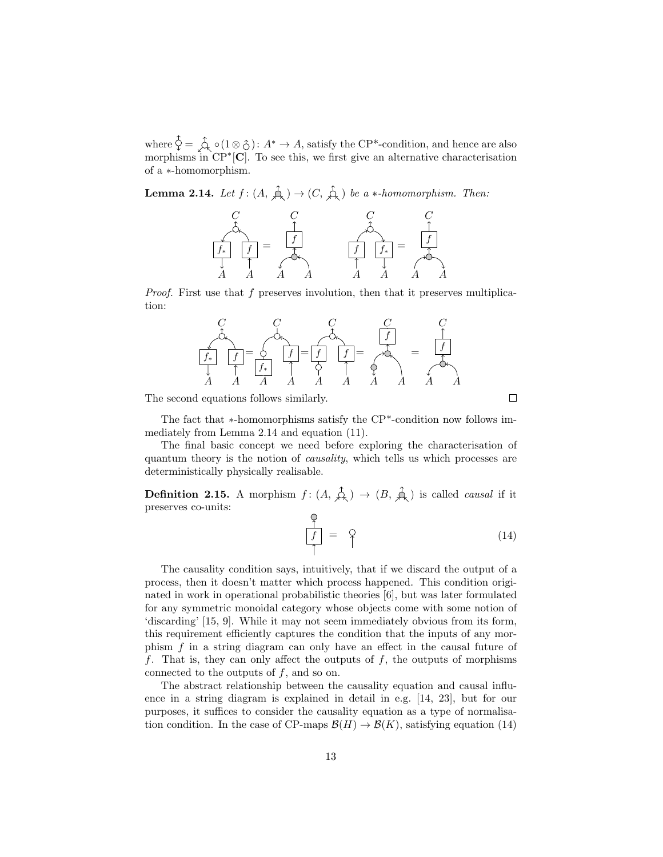where  $\hat{\varphi} = \hat{\varphi}_0$  o(1⊗ $\hat{\varphi}$ ):  $A^* \to A$ , satisfy the CP<sup>\*</sup>-condition, and hence are also morphisms in CP<sup>∗</sup>[C]. To see this, we first give an alternative characterisation of a ∗-homomorphism.

**Lemma 2.14.** Let  $f : (A, \overbrace{A}^{\uparrow}) \to (C, \overbrace{A}^{\uparrow})$  be a \*-homomorphism. Then:



Proof. First use that f preserves involution, then that it preserves multiplication:



The second equations follows similarly.

The fact that ∗-homomorphisms satisfy the CP\*-condition now follows immediately from Lemma 2.14 and equation (11).

The final basic concept we need before exploring the characterisation of quantum theory is the notion of causality, which tells us which processes are deterministically physically realisable.

**Definition 2.15.** A morphism  $f : (A, \hat{\phi}) \to (B, \hat{\phi})$  is called *causal* if it preserves co-units:

$$
\frac{f}{f} = \varphi \tag{14}
$$

 $\Box$ 

The causality condition says, intuitively, that if we discard the output of a process, then it doesn't matter which process happened. This condition originated in work in operational probabilistic theories [6], but was later formulated for any symmetric monoidal category whose objects come with some notion of 'discarding' [15, 9]. While it may not seem immediately obvious from its form, this requirement efficiently captures the condition that the inputs of any morphism f in a string diagram can only have an effect in the causal future of f. That is, they can only affect the outputs of f, the outputs of morphisms connected to the outputs of  $f$ , and so on.

The abstract relationship between the causality equation and causal influence in a string diagram is explained in detail in e.g. [14, 23], but for our purposes, it suffices to consider the causality equation as a type of normalisation condition. In the case of CP-maps  $\mathcal{B}(H) \to \mathcal{B}(K)$ , satisfying equation (14)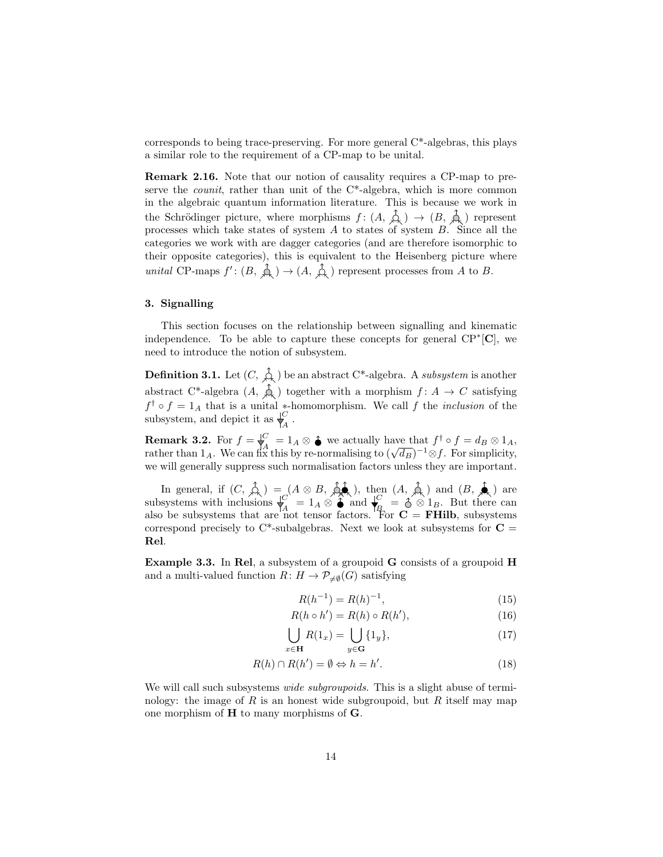corresponds to being trace-preserving. For more general C\*-algebras, this plays a similar role to the requirement of a CP-map to be unital.

Remark 2.16. Note that our notion of causality requires a CP-map to preserve the *counit*, rather than unit of the  $C^*$ -algebra, which is more common in the algebraic quantum information literature. This is because we work in the Schrödinger picture, where morphisms  $f : (A, \overset{\uparrow}{\mathcal{A}},) \rightarrow (B, \overset{\uparrow}{\mathcal{A}},)$  represent processes which take states of system  $A$  to states of system  $B$ . Since all the categories we work with are dagger categories (and are therefore isomorphic to their opposite categories), this is equivalent to the Heisenberg picture where unital CP-maps  $f' : (B, \overrightarrow{A}) \rightarrow (A, \overrightarrow{A})$  represent processes from A to B.

## 3. Signalling

This section focuses on the relationship between signalling and kinematic independence. To be able to capture these concepts for general  $\text{CP}^*[\mathbf{C}]$ , we need to introduce the notion of subsystem.

**Definition 3.1.** Let  $(C, \hat{\uparrow}_{\infty})$  be an abstract C\*-algebra. A *subsystem* is another abstract C<sup>\*</sup>-algebra  $(A, \phi)$  together with a morphism  $f: A \to C$  satisfying  $f^{\dagger} \circ f = 1_A$  that is a unital \*-homomorphism. We call f the *inclusion* of the subsystem, and depict it as  $\bigvee_{A}^{C}$ .

**Remark 3.2.** For  $f = \bigvee_{i=1}^{C} = 1_A \otimes \hat{\bullet}$  we actually have that  $f^{\dagger} \circ f = d_B \otimes 1_A$ , rather than  $1_A$ . We can fix this by re-normalising to  $(\sqrt{d_B})^{-1} \otimes f$ . For simplicity, we will generally suppress such normalisation factors unless they are important.

In general, if  $(C, \varphi) = (A \otimes B, \varphi)$ , then  $(A, \varphi)$  and  $(B, \varphi)$  are subsystems with inclusions  $\overline{\mathcal{A}}^C = 1_A \otimes \hat{\mathcal{A}}$  and  $\mathcal{A}^C = \hat{\mathcal{A}} \otimes 1_B$ . But there can also be subsystems that are not tensor factors. For  $C = FHilb$ , subsystems correspond precisely to  $C^*$ -subalgebras. Next we look at subsystems for  $C =$ Rel.

Example 3.3. In Rel, a subsystem of a groupoid G consists of a groupoid H and a multi-valued function  $R: H \to \mathcal{P}_{\neq \emptyset}(G)$  satisfying

$$
R(h^{-1}) = R(h)^{-1},\tag{15}
$$

$$
R(h \circ h') = R(h) \circ R(h'),\tag{16}
$$

$$
\bigcup_{x \in \mathbf{H}} R(1_x) = \bigcup_{y \in \mathbf{G}} \{1_y\},\tag{17}
$$

$$
R(h) \cap R(h') = \emptyset \Leftrightarrow h = h'. \tag{18}
$$

We will call such subsystems *wide subgroupoids*. This is a slight abuse of terminology: the image of R is an honest wide subgroupoid, but R itself may map one morphism of H to many morphisms of G.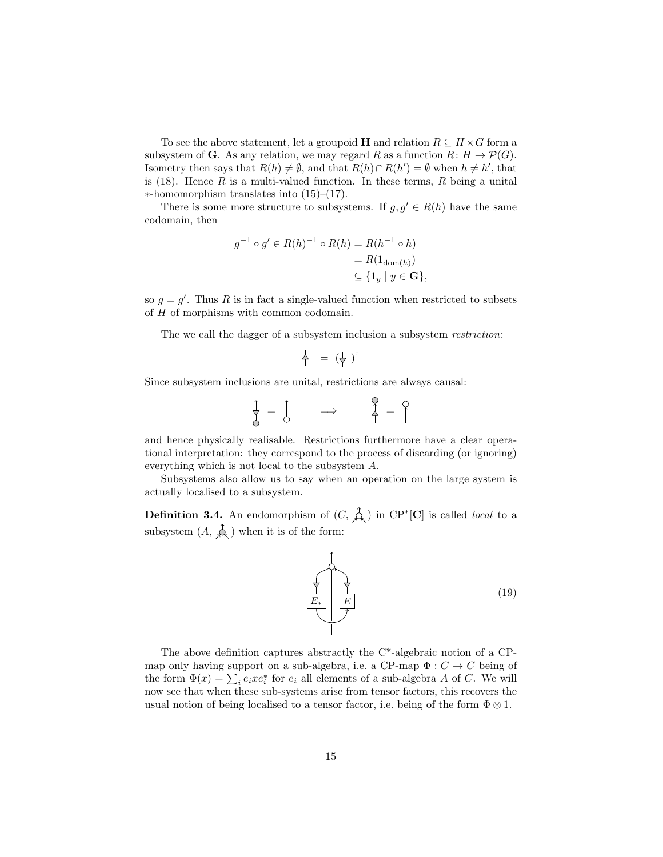To see the above statement, let a groupoid **H** and relation  $R \subseteq H \times G$  form a subsystem of **G**. As any relation, we may regard R as a function  $R: H \to \mathcal{P}(G)$ . Isometry then says that  $R(h) \neq \emptyset$ , and that  $R(h) \cap R(h') = \emptyset$  when  $h \neq h'$ , that is  $(18)$ . Hence R is a multi-valued function. In these terms, R being a unital ∗-homomorphism translates into (15)–(17).

There is some more structure to subsystems. If  $g, g' \in R(h)$  have the same codomain, then

$$
g^{-1} \circ g' \in R(h)^{-1} \circ R(h) = R(h^{-1} \circ h)
$$
  
=  $R(1_{\text{dom}(h)})$   
 $\subseteq \{1_y \mid y \in \mathbf{G}\},$ 

so  $g = g'$ . Thus R is in fact a single-valued function when restricted to subsets of H of morphisms with common codomain.

The we call the dagger of a subsystem inclusion a subsystem *restriction*:

$$
\overset{1}{\uparrow} = (\overset{1}{\uparrow})^{\dagger}
$$

Since subsystem inclusions are unital, restrictions are always causal:

$$
\frac{1}{\gamma} = \begin{bmatrix} 1 & \text{if } 1 \\ 0 & \text{if } 1 \end{bmatrix} \qquad \Longrightarrow \qquad \begin{bmatrix} \gamma & \text{if } 1 \\ \gamma & \text{if } 1 \end{bmatrix} = \begin{bmatrix} 1 & \text{if } 1 \\ 1 & \text{if } 1 \end{bmatrix}
$$

and hence physically realisable. Restrictions furthermore have a clear operational interpretation: they correspond to the process of discarding (or ignoring) everything which is not local to the subsystem A.

Subsystems also allow us to say when an operation on the large system is actually localised to a subsystem.

**Definition 3.4.** An endomorphism of  $(C, \hat{\phi})$  in CP<sup>\*</sup>[C] is called *local* to a subsystem  $(A, \hat{A})$  when it is of the form:



The above definition captures abstractly the C\*-algebraic notion of a CPmap only having support on a sub-algebra, i.e. a CP-map  $\Phi: C \to C$  being of the form  $\Phi(x) = \sum_i e_i x e_i^*$  for  $e_i$  all elements of a sub-algebra A of C. We will now see that when these sub-systems arise from tensor factors, this recovers the usual notion of being localised to a tensor factor, i.e. being of the form  $\Phi \otimes 1$ .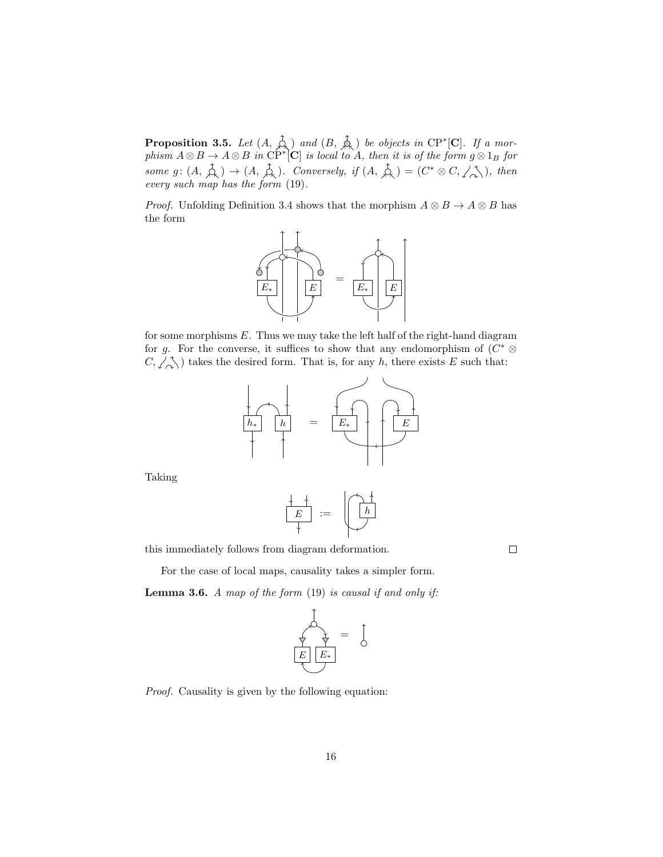**Proposition 3.5.** Let  $(A, \hat{A})$  and  $(B, \hat{A})$  be objects in CP<sup>\*</sup>[C]. If a morphism  $A \otimes B \to A \otimes B$  in  $\check{CP}^{\ast}[\mathbf{C}]$  is local to A, then it is of the form  $g \otimes 1_B$  for some  $g: (A, \overrightarrow{\mathcal{A}},) \to (A, \overrightarrow{\mathcal{A}},).$  Conversely, if  $(A, \overrightarrow{\mathcal{A}},) = (C^* \otimes C, \angle \overrightarrow{\mathcal{A}})$ , then every such map has the form (19).

*Proof.* Unfolding Definition 3.4 shows that the morphism  $A \otimes B \to A \otimes B$  has the form



for some morphisms  $E$ . Thus we may take the left half of the right-hand diagram for g. For the converse, it suffices to show that any endomorphism of  $(C^* \otimes$  $C, \angle \Diamond$  takes the desired form. That is, for any h, there exists E such that:



Taking

$$
\begin{array}{|c|c|c|}\n\hline\n+ & \\\hline\n\end{array} := \begin{array}{|c|}\n\hline\n\hline\nh \\
\hline\n\end{array}
$$

this immediately follows from diagram deformation.

 $\Box$ 

For the case of local maps, causality takes a simpler form. **Lemma 3.6.** A map of the form  $(19)$  is causal if and only if:



Proof. Causality is given by the following equation: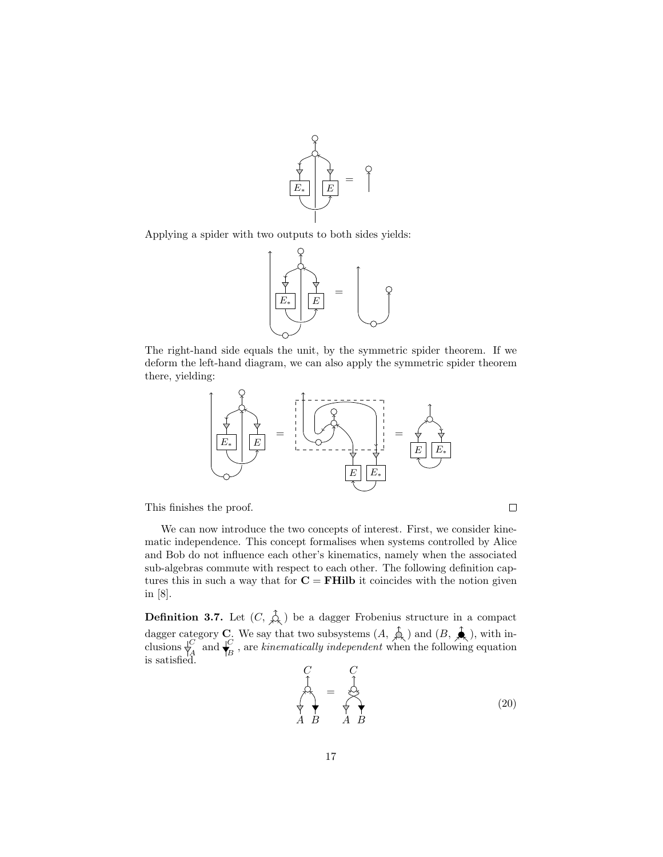

Applying a spider with two outputs to both sides yields:



The right-hand side equals the unit, by the symmetric spider theorem. If we deform the left-hand diagram, we can also apply the symmetric spider theorem there, yielding:



This finishes the proof.

We can now introduce the two concepts of interest. First, we consider kinematic independence. This concept formalises when systems controlled by Alice and Bob do not influence each other's kinematics, namely when the associated sub-algebras commute with respect to each other. The following definition captures this in such a way that for  $C = FHilb$  it coincides with the notion given in [8].

**Definition 3.7.** Let  $(C, \hat{\uparrow}_{\lambda})$  be a dagger Frobenius structure in a compact dagger category **C**. We say that two subsystems  $(A, \phi)$  and  $(B, \phi)$ , with inclusions  $\bigvee_{A}^{C}$  and  $\bigvee_{B}^{C}$  $\mathcal{C}_{\mathbf{p}}^{C}$ , are kinematically independent when the following equation is satisfied.

$$
\begin{array}{ccc}\nC & C \\
\uparrow & \uparrow & \uparrow \\
\downarrow & \downarrow & \downarrow \\
A & B & A & B\n\end{array}
$$
\n(20)

 $\Box$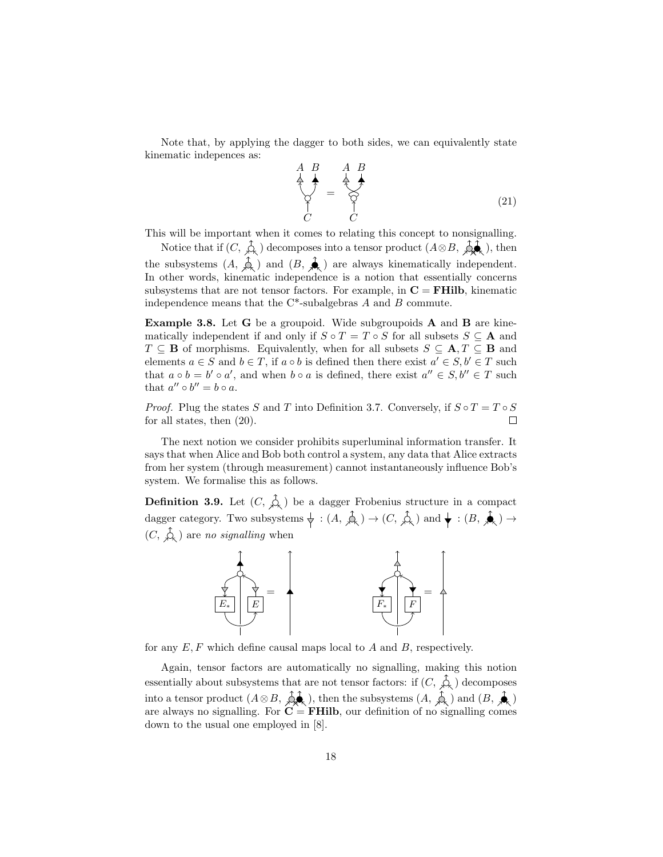Note that, by applying the dagger to both sides, we can equivalently state kinematic indepences as:

$$
\begin{array}{ccc}\nA & B & A & B \\
\uparrow & \downarrow & \downarrow \\
\downarrow & \uparrow & \downarrow \\
C & C & C\n\end{array}
$$
\n(21)

This will be important when it comes to relating this concept to nonsignalling.

Notice that if  $(C, \varphi)$  decomposes into a tensor product  $(A \otimes B, \varphi)$ , then the subsystems  $(A, \phi)$  and  $(B, \phi)$  are always kinematically independent. In other words, kinematic independence is a notion that essentially concerns subsystems that are not tensor factors. For example, in  $C = FHilb$ , kinematic independence means that the  $C^*$ -subalgebras A and B commute.

Example 3.8. Let G be a groupoid. Wide subgroupoids A and B are kinematically independent if and only if  $S \circ T = T \circ S$  for all subsets  $S \subseteq A$  and  $T \subseteq \mathbf{B}$  of morphisms. Equivalently, when for all subsets  $S \subseteq \mathbf{A}, T \subseteq \mathbf{B}$  and elements  $a \in S$  and  $b \in T$ , if  $a \circ b$  is defined then there exist  $a' \in S$ ,  $b' \in T$  such that  $a \circ b = b' \circ a'$ , and when  $b \circ a$  is defined, there exist  $a'' \in S, b'' \in T$  such that  $a'' \circ b'' = b \circ a$ .

*Proof.* Plug the states S and T into Definition 3.7. Conversely, if  $S \circ T = T \circ S$ for all states, then (20).  $\Box$ 

The next notion we consider prohibits superluminal information transfer. It says that when Alice and Bob both control a system, any data that Alice extracts from her system (through measurement) cannot instantaneously influence Bob's system. We formalise this as follows.

**Definition 3.9.** Let  $(C, \mathcal{L})$  be a dagger Frobenius structure in a compact dagger category. Two subsystems  $\phi : (A, \hat{A}) \to (C, \hat{A})$  and  $\phi : (B, \hat{A}) \to (C, \hat{A})$  $(C, \overrightarrow{\mathcal{L}})$  are no signalling when



for any  $E, F$  which define causal maps local to  $A$  and  $B$ , respectively.

Again, tensor factors are automatically no signalling, making this notion essentially about subsystems that are not tensor factors: if  $(C, \hat{\mathcal{L}})$  decomposes into a tensor product  $(A \otimes B, \phi)$ , then the subsystems  $(A, \phi)$  and  $(B, \phi)$ are always no signalling. For  $C = FHilb$ , our definition of no signalling comes down to the usual one employed in [8].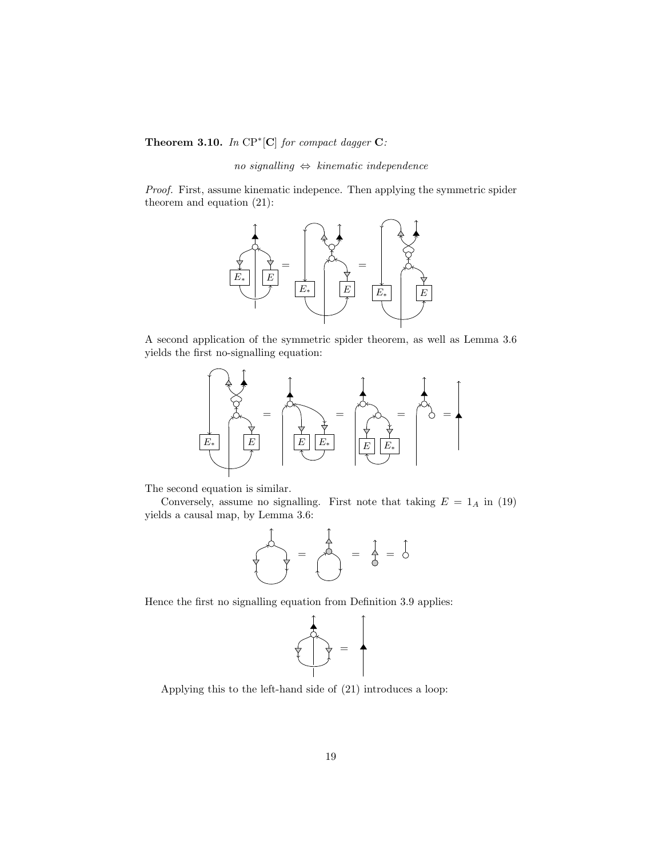Theorem 3.10. In  $\text{CP}^*[\textbf{C}]$  for compact dagger  $\textbf{C}$ :

 $no$  signalling  $\Leftrightarrow$  kinematic independence

Proof. First, assume kinematic indepence. Then applying the symmetric spider theorem and equation (21):



A second application of the symmetric spider theorem, as well as Lemma 3.6 yields the first no-signalling equation:



The second equation is similar.

Conversely, assume no signalling. First note that taking  $E = 1_A$  in (19) yields a causal map, by Lemma 3.6:

$$
\frac{1}{\sqrt{1-\frac{1}{\sqrt{1-\frac{1}{\sqrt{1-\frac{1}{\sqrt{1-\frac{1}{\sqrt{1-\frac{1}{\sqrt{1-\frac{1}{\sqrt{1-\frac{1}{\sqrt{1-\frac{1}{\sqrt{1-\frac{1}{\sqrt{1-\frac{1}{\sqrt{1-\frac{1}{\sqrt{1-\frac{1}{\sqrt{1-\frac{1}{\sqrt{1-\frac{1}{\sqrt{1-\frac{1}{\sqrt{1-\frac{1}{\sqrt{1-\frac{1}{\sqrt{1-\frac{1}{\sqrt{1-\frac{1}{\sqrt{1-\frac{1}{\sqrt{1-\frac{1}{\sqrt{1-\frac{1}{\sqrt{1-\frac{1}{\sqrt{1-\frac{1}{\sqrt{1-\frac{1}{\sqrt{1-\frac{1}{\sqrt{1-\frac{1}{\sqrt{1-\frac{1}{\sqrt{1-\frac{1}{\sqrt{1-\frac{1}{\sqrt{1-\frac{1}{\sqrt{1-\frac{1}{\sqrt{1-\frac{1}{\sqrt{1-\frac{1}{\sqrt{1-\frac{1}{\sqrt{1-\frac{1}{\sqrt{1-\frac{1}{\sqrt{1-\frac{1}{\sqrt{1-\frac{1}{\sqrt{1-\frac{1}{\sqrt{1-\frac{1}{\sqrt{1-\frac{1}{\sqrt{1-\frac{1}{\sqrt{1-\frac{1}{\sqrt{1-\frac{1}{\sqrt{1-\frac{1}{\sqrt{1-\frac{1}{\sqrt{1-\frac{1}{\sqrt{1-\frac{1}{\sqrt{1-\frac{1}{\sqrt{1-\frac{1}{\sqrt{1-\frac{1}{\sqrt{1-\frac{1}{\sqrt{1-\frac{1}{\sqrt{1-\frac{1}{\sqrt{1-\frac{1}{\sqrt{1-\frac{1}{\sqrt{1-\frac{1}{\sqrt{1-\frac{1}{1\sqrt{1-\frac{1}{\sqrt{1-\frac{1}{\sqrt{1-\frac{1}{1\sqrt{1-\frac{1}{\sqrt{1-\frac{1}{1\sqrt{1 - \frac{1}{\sqrt{1 - \frac{1}{\sqrt{1 - \frac{1}{\sqrt{1 - \frac{1}{\sqrt{1 - \frac{1}{\sqrt{1 - \frac{1}{\sqrt{1 - \frac{1}{\sqrt{1 - \frac{1}{\sqrt{1 - \frac{1}{\sqrt{1 - \frac{1}{\sqrt{1 - \frac{1}{\sqrt{1 - \frac{1}{\sqrt{1 - \frac{1}{\sqrt{1 - \frac{1}{\sqrt{1 - \frac{1}{\sqrt{1 - \frac{1}{\sqrt{1 - \frac{1}{\sqrt{1 - \
$$

Hence the first no signalling equation from Definition 3.9 applies:



Applying this to the left-hand side of (21) introduces a loop: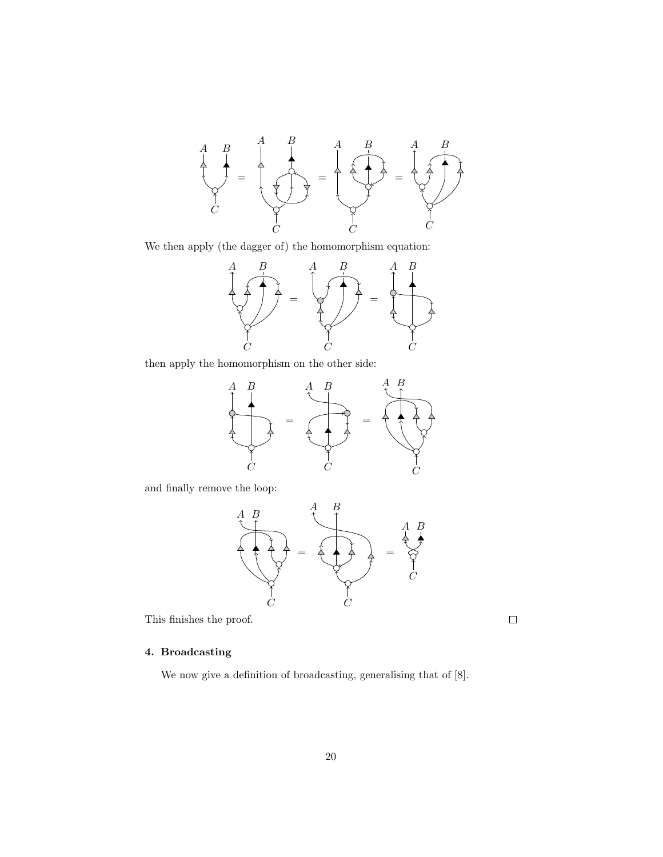

We then apply (the dagger of) the homomorphism equation:



then apply the homomorphism on the other side:



and finally remove the loop:



This finishes the proof.

## 4. Broadcasting

We now give a definition of broadcasting, generalising that of [8].

 $\Box$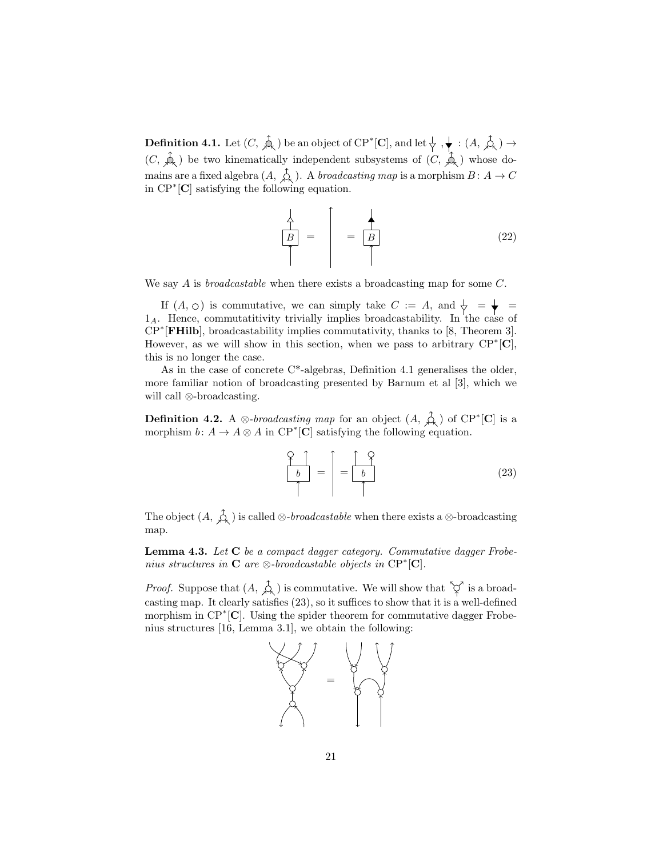**Definition 4.1.** Let  $(C, \hat{\phi})$  be an object of  $\text{CP}^*[\mathbf{C}],$  and let  $\downarrow, \downarrow : (A, \hat{\phi}) \rightarrow$  $(C, \overrightarrow{A})$  be two kinematically independent subsystems of  $(C, \overrightarrow{A})$  whose domains are a fixed algebra  $(A, \hat{\uparrow}_{\lambda})$ . A *broadcasting map* is a morphism  $B: A \to C$ in CP<sup>∗</sup> [C] satisfying the following equation.

$$
\frac{\frac{1}{A}}{\uparrow} = \frac{\uparrow}{B} = \frac{\frac{1}{B}}{\uparrow}
$$
 (22)

We say A is *broadcastable* when there exists a broadcasting map for some C.

If  $(A, \circ)$  is commutative, we can simply take  $C := A$ , and  $\downarrow = \downarrow = \downarrow$  $1_A$ . Hence, commutatitivity trivially implies broadcastability. In the case of CP<sup>∗</sup> [FHilb], broadcastability implies commutativity, thanks to [8, Theorem 3]. However, as we will show in this section, when we pass to arbitrary  $\text{CP}^*[\mathbf{C}]$ , this is no longer the case.

As in the case of concrete  $C^*$ -algebras, Definition 4.1 generalises the older, more familiar notion of broadcasting presented by Barnum et al [3], which we will call ⊗-broadcasting.

**Definition 4.2.** A ⊗-broadcasting map for an object  $(A, \hat{A})$  of CP<sup>\*</sup>[C] is a morphism  $b: A \to A \otimes A$  in  $\mathbb{CP}^*[\mathbf{C}]$  satisfying the following equation.

$$
\frac{Q}{b} = \frac{Q}{b} = \frac{Q}{b}
$$
 (23)

The object  $(A, \hat{\overline{A}})$  is called ⊗-*broadcastable* when there exists a ⊗-broadcasting map.

Lemma 4.3. Let C be a compact dagger category. Commutative dagger Frobenius structures in  $C$  are  $\otimes$ -broadcastable objects in  $\text{CP}^*[\mathbf{C}]$ .

*Proof.* Suppose that  $(A, \hat{\mathcal{L}})$  is commutative. We will show that  $\hat{\varphi}$  is a broadcasting map. It clearly satisfies (23), so it suffices to show that it is a well-defined morphism in CP<sup>∗</sup>[C]. Using the spider theorem for commutative dagger Frobenius structures [16, Lemma 3.1], we obtain the following:

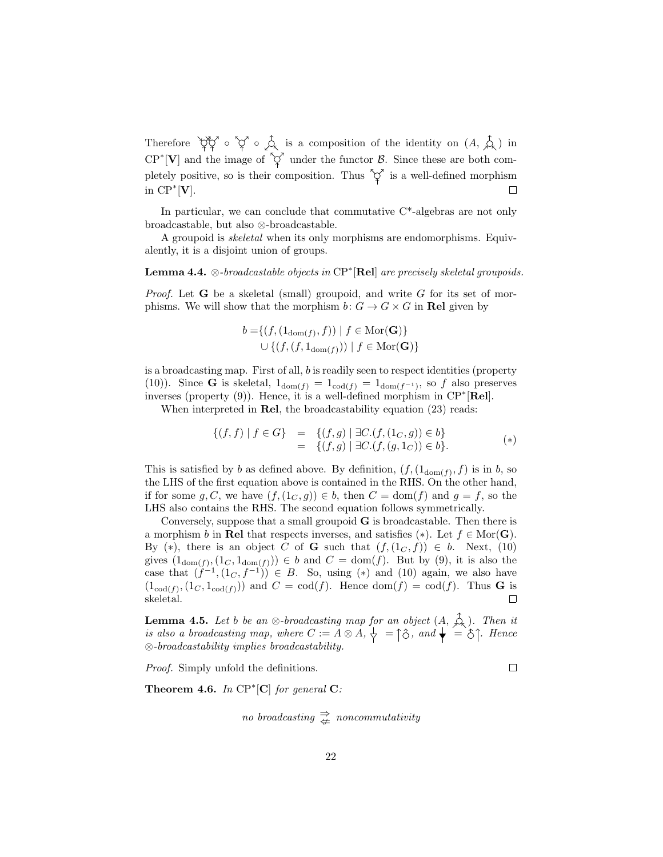Therefore  $\phi \circ \phi$  of  $\phi$  is a composition of the identity on  $(A, \hat{A})$  in  $\text{CP}^*[\mathbf{V}]$  and the image of  $\tilde{\varphi}$  under the functor  $\mathcal{B}$ . Since these are both completely positive, so is their composition. Thus  $\varphi$  is a well-defined morphism in  $\mathrm{CP}^*[\mathbf{V}].$  $\Box$ 

In particular, we can conclude that commutative  $C^*$ -algebras are not only broadcastable, but also ⊗-broadcastable.

A groupoid is skeletal when its only morphisms are endomorphisms. Equivalently, it is a disjoint union of groups.

**Lemma 4.4.**  $\otimes$ -broadcastable objects in  $\text{CP}^*[\text{Rel}]$  are precisely skeletal groupoids.

*Proof.* Let **G** be a skeletal (small) groupoid, and write G for its set of morphisms. We will show that the morphism  $b: G \to G \times G$  in Rel given by

$$
b = \{ (f, (1_{\text{dom}(f)}, f)) \mid f \in \text{Mor}(\mathbf{G}) \}
$$
  

$$
\cup \{ (f, (f, 1_{\text{dom}(f)})) \mid f \in \text{Mor}(\mathbf{G}) \}
$$

is a broadcasting map. First of all, b is readily seen to respect identities (property (10)). Since **G** is skeletal,  $1_{dom(f)} = 1_{cod(f)} = 1_{dom(f^{-1})}$ , so f also preserves inverses (property (9)). Hence, it is a well-defined morphism in CP<sup>∗</sup> [Rel].

When interpreted in **Rel**, the broadcastability equation (23) reads:

$$
\{(f,f) | f \in G\} = \{(f,g) | \exists C.(f,(1_C,g)) \in b\}= \{(f,g) | \exists C.(f,(g,1_C)) \in b\}.
$$
 (\*)

This is satisfied by b as defined above. By definition,  $(f,(1_{dom}(f),f))$  is in b, so the LHS of the first equation above is contained in the RHS. On the other hand, if for some g, C, we have  $(f,(1<sub>C</sub>, g)) \in b$ , then  $C = \text{dom}(f)$  and  $g = f$ , so the LHS also contains the RHS. The second equation follows symmetrically.

Conversely, suppose that a small groupoid G is broadcastable. Then there is a morphism b in Rel that respects inverses, and satisfies (\*). Let  $f \in \text{Mor}(\mathbf{G})$ . By (\*), there is an object C of G such that  $(f,(1_C, f)) \in b$ . Next, (10) gives  $(1_{dom(f)}, (1_C, 1_{dom(f)})) \in b$  and  $C = dom(f)$ . But by (9), it is also the case that  $(j^{-1}, (1_C, f^{-1})) \in B$ . So, using (\*) and (10) again, we also have  $(1_{\text{cod}(f)}, (1_C, 1_{\text{cod}(f)}))$  and  $C = \text{cod}(f)$ . Hence  $\text{dom}(f) = \text{cod}(f)$ . Thus **G** is skeletal.  $\Box$ 

**Lemma 4.5.** Let b be an ⊗-broadcasting map for an object  $(A, \n\downarrow)$ . Then it is also a broadcasting map, where  $C := A \otimes A, \frac{1}{\vee} = \hat{C}$ , and  $\blacklozenge = \hat{C}$ . Hence  $\otimes$ -broadcastability implies broadcastability.

 $\Box$ 

Proof. Simply unfold the definitions.

**Theorem 4.6.** In  $\text{CP}^*[\textbf{C}]$  for general  $\textbf{C}$ :

$$
no\ broadcasting \overset{\Rightarrow}{\neq} \ noncommutativity
$$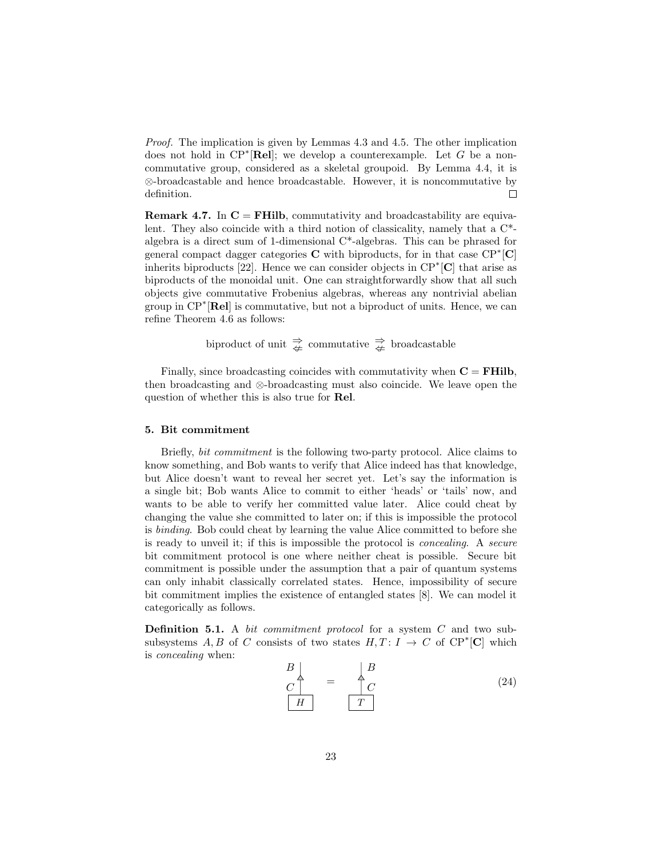*Proof.* The implication is given by Lemmas 4.3 and 4.5. The other implication does not hold in  $\mathbb{CP}^*[\textbf{Rel}]$ ; we develop a counterexample. Let G be a noncommutative group, considered as a skeletal groupoid. By Lemma 4.4, it is ⊗-broadcastable and hence broadcastable. However, it is noncommutative by definition.  $\Box$ 

**Remark 4.7.** In  $C = FHilb$ , commutativity and broadcastability are equivalent. They also coincide with a third notion of classicality, namely that a C\* algebra is a direct sum of 1-dimensional C\*-algebras. This can be phrased for general compact dagger categories  $C$  with biproducts, for in that case  $\text{CP}^*[\textbf{C}]$ inherits biproducts [22]. Hence we can consider objects in  $\mathbb{CP}^*[\mathbb{C}]$  that arise as biproducts of the monoidal unit. One can straightforwardly show that all such objects give commutative Frobenius algebras, whereas any nontrivial abelian group in CP<sup>∗</sup> [Rel] is commutative, but not a biproduct of units. Hence, we can refine Theorem 4.6 as follows:

biproduct of unit  $\Rightarrow^{\Rightarrow}_{\Leftarrow}$  commutative  $\Rightarrow^{\Rightarrow}_{\Leftarrow}$  broadcastable

Finally, since broadcasting coincides with commutativity when  $C = FHilb$ , then broadcasting and ⊗-broadcasting must also coincide. We leave open the question of whether this is also true for Rel.

#### 5. Bit commitment

Briefly, bit commitment is the following two-party protocol. Alice claims to know something, and Bob wants to verify that Alice indeed has that knowledge, but Alice doesn't want to reveal her secret yet. Let's say the information is a single bit; Bob wants Alice to commit to either 'heads' or 'tails' now, and wants to be able to verify her committed value later. Alice could cheat by changing the value she committed to later on; if this is impossible the protocol is binding. Bob could cheat by learning the value Alice committed to before she is ready to unveil it; if this is impossible the protocol is concealing. A secure bit commitment protocol is one where neither cheat is possible. Secure bit commitment is possible under the assumption that a pair of quantum systems can only inhabit classically correlated states. Hence, impossibility of secure bit commitment implies the existence of entangled states [8]. We can model it categorically as follows.

Definition 5.1. A bit commitment protocol for a system C and two subsubsystems A, B of C consists of two states  $H, T: I \rightarrow C$  of  $\mathbb{CP}^*[\mathbb{C}]$  which is concealing when:

$$
\begin{array}{c}\nB \\
C \\
\hline\nH\n\end{array} = \begin{array}{c}\nB \\
C \\
C \\
T\n\end{array}
$$
\n(24)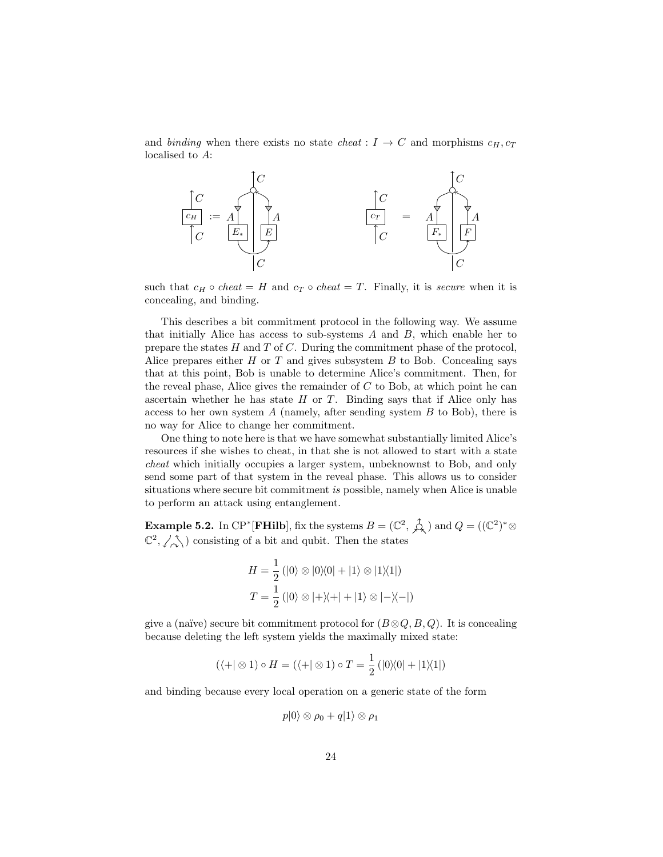and binding when there exists no state cheat :  $I \rightarrow C$  and morphisms  $c_H, c_T$ localised to A:



such that  $c_H \circ cheat = H$  and  $c_T \circ cheat = T$ . Finally, it is secure when it is concealing, and binding.

This describes a bit commitment protocol in the following way. We assume that initially Alice has access to sub-systems  $A$  and  $B$ , which enable her to prepare the states  $H$  and  $T$  of  $C$ . During the commitment phase of the protocol, Alice prepares either  $H$  or  $T$  and gives subsystem  $B$  to Bob. Concealing says that at this point, Bob is unable to determine Alice's commitment. Then, for the reveal phase, Alice gives the remainder of  $C$  to Bob, at which point he can ascertain whether he has state  $H$  or  $T$ . Binding says that if Alice only has access to her own system  $A$  (namely, after sending system  $B$  to Bob), there is no way for Alice to change her commitment.

One thing to note here is that we have somewhat substantially limited Alice's resources if she wishes to cheat, in that she is not allowed to start with a state cheat which initially occupies a larger system, unbeknownst to Bob, and only send some part of that system in the reveal phase. This allows us to consider situations where secure bit commitment is possible, namely when Alice is unable to perform an attack using entanglement.

**Example 5.2.** In CP<sup>\*</sup> [FHilb], fix the systems  $B = (\mathbb{C}^2, \hat{\mathbb{A}})$  and  $Q = ((\mathbb{C}^2)^* \otimes$  $\mathbb{C}^2$ ,  $\angle \Diamond$ ) consisting of a bit and qubit. Then the states

$$
H = \frac{1}{2} (|0\rangle \otimes |0\rangle\langle 0| + |1\rangle \otimes |1\rangle\langle 1|)
$$
  

$$
T = \frac{1}{2} (|0\rangle \otimes |+\rangle\langle +| + |1\rangle \otimes |-\rangle\langle -|)
$$

give a (naïve) secure bit commitment protocol for  $(B \otimes Q, B, Q)$ . It is concealing because deleting the left system yields the maximally mixed state:

$$
(\langle + | \otimes 1) \circ H = (\langle + | \otimes 1) \circ T = \frac{1}{2} (|0\rangle\langle 0| + |1\rangle\langle 1|)
$$

and binding because every local operation on a generic state of the form

$$
p|0\rangle\otimes\rho_0+q|1\rangle\otimes\rho_1
$$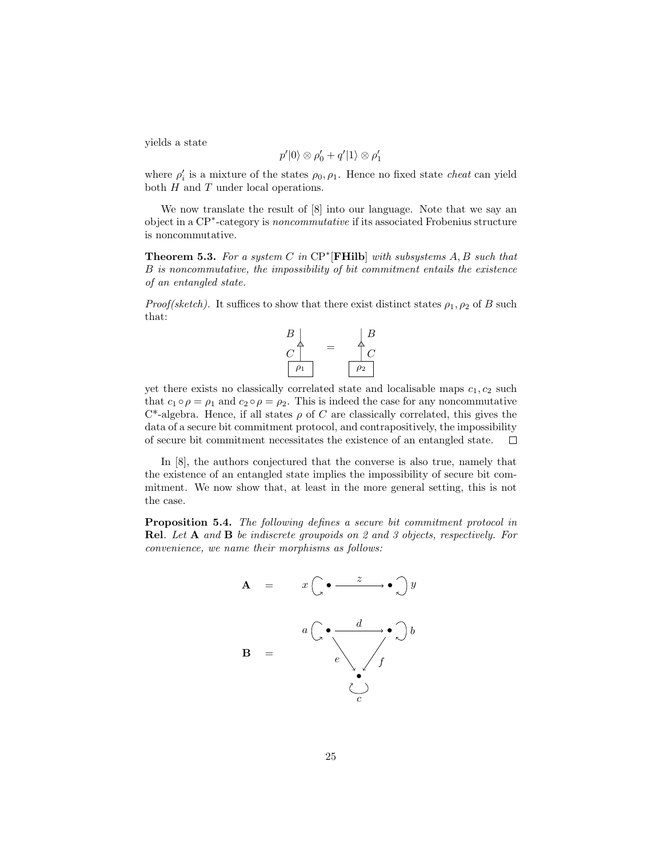yields a state

$$
p'|0\rangle \otimes \rho'_0 + q'|1\rangle \otimes \rho'_1
$$

where  $\rho_i'$  is a mixture of the states  $\rho_0, \rho_1$ . Hence no fixed state *cheat* can yield both  $H$  and  $T$  under local operations.

We now translate the result of [8] into our language. Note that we say an object in a CP<sup>∗</sup> -category is noncommutative if its associated Frobenius structure is noncommutative.

**Theorem 5.3.** For a system C in  $\text{CP}^*$  [FHilb] with subsystems A, B such that B is noncommutative, the impossibility of bit commitment entails the existence of an entangled state.

*Proof(sketch)*. It suffices to show that there exist distinct states  $\rho_1$ ,  $\rho_2$  of B such that:



yet there exists no classically correlated state and localisable maps  $c_1, c_2$  such that  $c_1 \circ \rho = \rho_1$  and  $c_2 \circ \rho = \rho_2$ . This is indeed the case for any noncommutative  $C^*$ -algebra. Hence, if all states  $\rho$  of C are classically correlated, this gives the data of a secure bit commitment protocol, and contrapositively, the impossibility of secure bit commitment necessitates the existence of an entangled state.  $\Box$ 

In [8], the authors conjectured that the converse is also true, namely that the existence of an entangled state implies the impossibility of secure bit commitment. We now show that, at least in the more general setting, this is not the case.

Proposition 5.4. The following defines a secure bit commitment protocol in Rel. Let A and B be indiscrete groupoids on 2 and 3 objects, respectively. For convenience, we name their morphisms as follows:

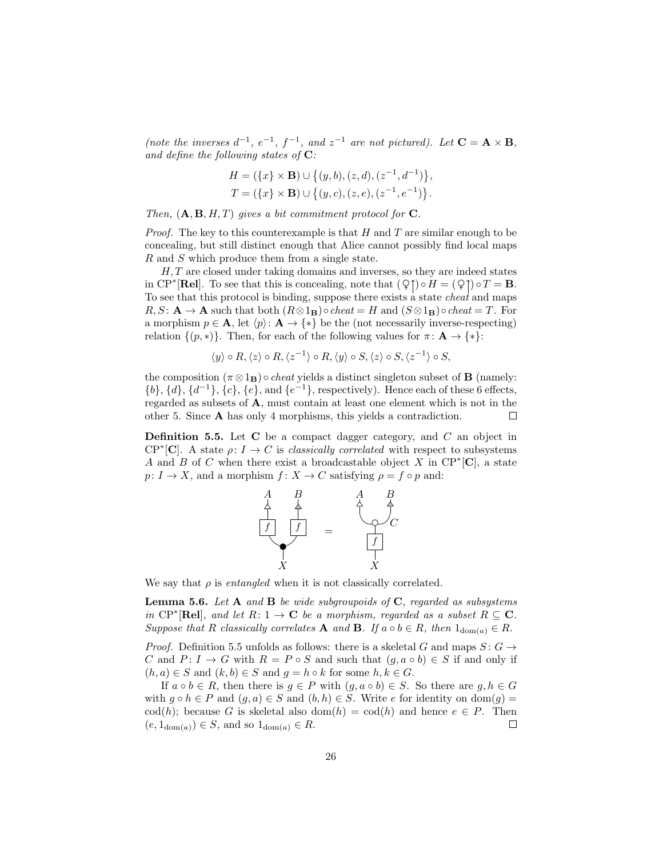(note the inverses  $d^{-1}$ ,  $e^{-1}$ ,  $f^{-1}$ , and  $z^{-1}$  are not pictured). Let  $C = A \times B$ , and define the following states of  $C$ :

$$
H = (\{x\} \times \mathbf{B}) \cup \{(y, b), (z, d), (z^{-1}, d^{-1})\},
$$
  
\n
$$
T = (\{x\} \times \mathbf{B}) \cup \{(y, c), (z, e), (z^{-1}, e^{-1})\}.
$$

Then,  $(A, B, H, T)$  gives a bit commitment protocol for C.

*Proof.* The key to this counterexample is that  $H$  and  $T$  are similar enough to be concealing, but still distinct enough that Alice cannot possibly find local maps R and S which produce them from a single state.

H, T are closed under taking domains and inverses, so they are indeed states in CP<sup>\*</sup>[Rel]. To see that this is concealing, note that  $(Q \uparrow) \circ H = (Q \uparrow) \circ T = \mathbf{B}$ . To see that this protocol is binding, suppose there exists a state cheat and maps  $R, S: \mathbf{A} \to \mathbf{A}$  such that both  $(R \otimes 1_{\mathbf{B}}) \circ$ cheat = H and  $(S \otimes 1_{\mathbf{B}}) \circ$ cheat = T. For a morphism  $p \in \mathbf{A}$ , let  $\langle p \rangle \colon \mathbf{A} \to \{ * \}$  be the (not necessarily inverse-respecting) relation  $\{(p, *)\}$ . Then, for each of the following values for  $\pi : \mathbf{A} \to \{*\}$ :

$$
\langle y \rangle \circ R, \langle z \rangle \circ R, \langle z^{-1} \rangle \circ R, \langle y \rangle \circ S, \langle z \rangle \circ S, \langle z^{-1} \rangle \circ S,
$$

the composition  $(\pi \otimes 1_B) \circ$  *cheat* yields a distinct singleton subset of **B** (namely:  $\{b\}, \{d\}, \{d^{-1}\}, \{c\}, \{e\}, \text{and } \{e^{-1}\}, \text{respectively}.$  Hence each of these 6 effects, regarded as subsets of A, must contain at least one element which is not in the other 5. Since A has only 4 morphisms, this yields a contradiction.  $\Box$ 

**Definition 5.5.** Let  $C$  be a compact dagger category, and  $C$  an object in  $\mathbb{CP}^*[\mathbb{C}]$ . A state  $\rho: I \to C$  is *classically correlated* with respect to subsystems A and B of C when there exist a broadcastable object X in  $\mathbb{CP}^*[\mathbf{C}]$ , a state  $p: I \to X$ , and a morphism  $f: X \to C$  satisfying  $\rho = f \circ p$  and:



We say that  $\rho$  is *entangled* when it is not classically correlated.

**Lemma 5.6.** Let  $A$  and  $B$  be wide subgroupoids of  $C$ , regarded as subsystems in CP<sup>\*</sup>[Rel], and let  $R: 1 \to \mathbf{C}$  be a morphism, regarded as a subset  $R \subseteq \mathbf{C}$ . Suppose that R classically correlates **A** and **B**. If  $a \circ b \in R$ , then  $1_{\text{dom}(a)} \in R$ .

*Proof.* Definition 5.5 unfolds as follows: there is a skeletal G and maps  $S: G \rightarrow$ C and  $P: I \to G$  with  $R = P \circ S$  and such that  $(g, a \circ b) \in S$  if and only if  $(h, a) \in S$  and  $(k, b) \in S$  and  $g = h \circ k$  for some  $h, k \in G$ .

If  $a \circ b \in R$ , then there is  $g \in P$  with  $(g, a \circ b) \in S$ . So there are  $g, h \in G$ with  $g \circ h \in P$  and  $(g, a) \in S$  and  $(b, h) \in S$ . Write e for identity on  $dom(g)$ cod(h); because G is skeletal also dom(h) = cod(h) and hence  $e \in P$ . Then  $(e, 1_{\text{dom}(a)}) \in S$ , and so  $1_{\text{dom}(a)} \in R$ .  $\Box$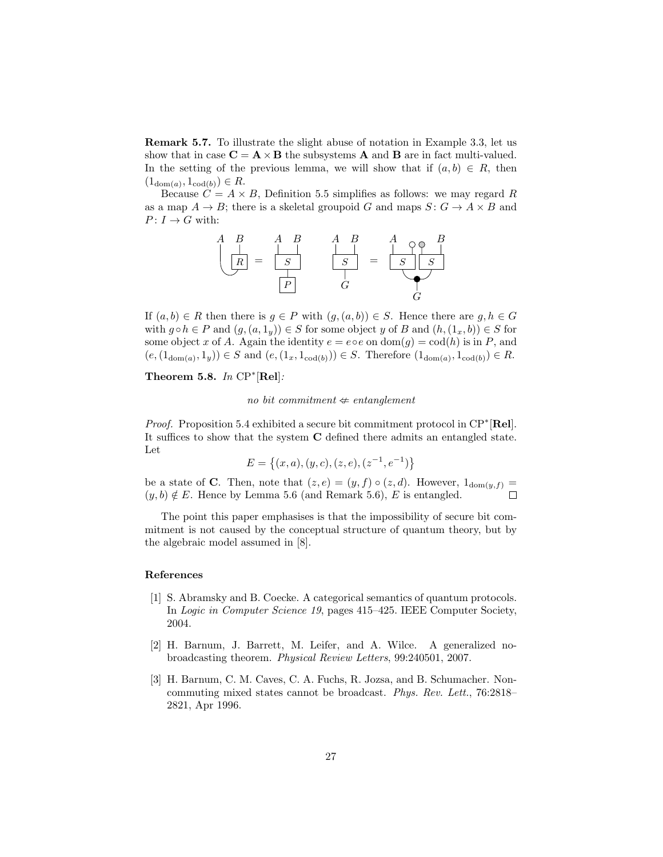Remark 5.7. To illustrate the slight abuse of notation in Example 3.3, let us show that in case  $C = A \times B$  the subsystems A and B are in fact multi-valued. In the setting of the previous lemma, we will show that if  $(a, b) \in R$ , then  $(1_{\text{dom}(a)}, 1_{\text{cod}(b)}) \in R.$ 

Because  $C = A \times B$ , Definition 5.5 simplifies as follows: we may regard R as a map  $A \to B$ ; there is a skeletal groupoid G and maps  $S: G \to A \times B$  and  $P: I \to G$  with:



If  $(a, b) \in R$  then there is  $g \in P$  with  $(g, (a, b)) \in S$ . Hence there are  $g, h \in G$ with  $g \circ h \in P$  and  $(g,(a,1_y)) \in S$  for some object y of B and  $(h,(1_x,b)) \in S$  for some object x of A. Again the identity  $e = e \circ e$  on  $\text{dom}(g) = \text{cod}(h)$  is in P, and  $(e, (1_{\text{dom}(a)}, 1_y)) \in S$  and  $(e, (1_x, 1_{\text{cod}(b)})) \in S$ . Therefore  $(1_{\text{dom}(a)}, 1_{\text{cod}(b)}) \in R$ .

Theorem 5.8. In  $\mathbb{CP}^*[\text{Rel}]$ :

no bit commitment  $\Leftrightarrow$  entanglement

Proof. Proposition 5.4 exhibited a secure bit commitment protocol in CP<sup>\*</sup>[Rel]. It suffices to show that the system C defined there admits an entangled state. Let

$$
E = \{(x, a), (y, c), (z, e), (z^{-1}, e^{-1})\}
$$

be a state of **C**. Then, note that  $(z, e) = (y, f) \circ (z, d)$ . However,  $1_{\text{dom}(y, f)} = (y, b) \notin E$ . Hence by Lemma 5.6 (and Remark 5.6). *E* is entangled.  $(y, b) \notin E$ . Hence by Lemma 5.6 (and Remark 5.6), E is entangled.

The point this paper emphasises is that the impossibility of secure bit commitment is not caused by the conceptual structure of quantum theory, but by the algebraic model assumed in [8].

#### References

- [1] S. Abramsky and B. Coecke. A categorical semantics of quantum protocols. In Logic in Computer Science 19, pages 415–425. IEEE Computer Society, 2004.
- [2] H. Barnum, J. Barrett, M. Leifer, and A. Wilce. A generalized nobroadcasting theorem. Physical Review Letters, 99:240501, 2007.
- [3] H. Barnum, C. M. Caves, C. A. Fuchs, R. Jozsa, and B. Schumacher. Noncommuting mixed states cannot be broadcast. Phys. Rev. Lett., 76:2818– 2821, Apr 1996.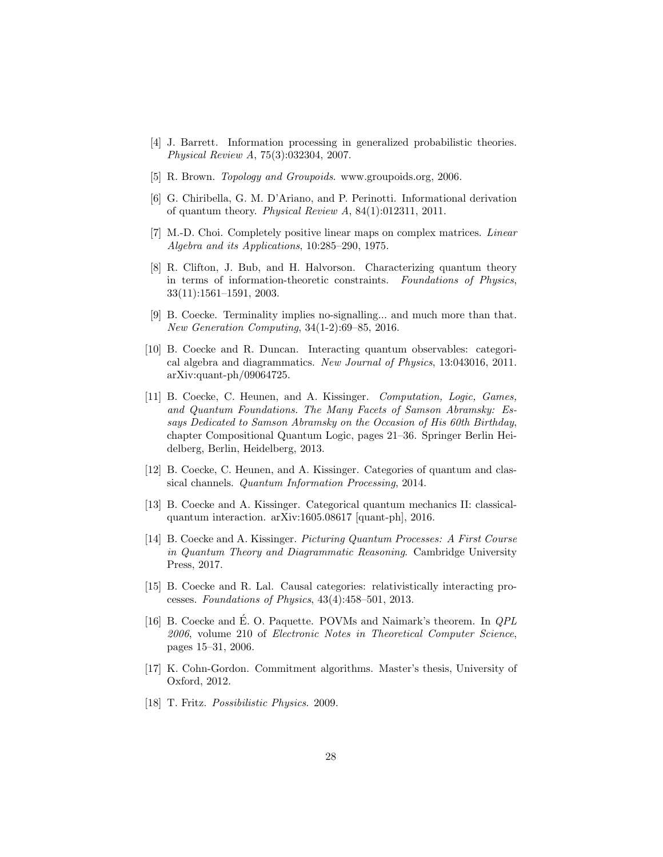- [4] J. Barrett. Information processing in generalized probabilistic theories. Physical Review A, 75(3):032304, 2007.
- [5] R. Brown. *Topology and Groupoids*. www.groupoids.org, 2006.
- [6] G. Chiribella, G. M. D'Ariano, and P. Perinotti. Informational derivation of quantum theory. Physical Review A, 84(1):012311, 2011.
- [7] M.-D. Choi. Completely positive linear maps on complex matrices. *Linear* Algebra and its Applications, 10:285–290, 1975.
- [8] R. Clifton, J. Bub, and H. Halvorson. Characterizing quantum theory in terms of information-theoretic constraints. Foundations of Physics, 33(11):1561–1591, 2003.
- [9] B. Coecke. Terminality implies no-signalling... and much more than that. New Generation Computing, 34(1-2):69–85, 2016.
- [10] B. Coecke and R. Duncan. Interacting quantum observables: categorical algebra and diagrammatics. New Journal of Physics, 13:043016, 2011. arXiv:quant-ph/09064725.
- [11] B. Coecke, C. Heunen, and A. Kissinger. Computation, Logic, Games, and Quantum Foundations. The Many Facets of Samson Abramsky: Essays Dedicated to Samson Abramsky on the Occasion of His 60th Birthday, chapter Compositional Quantum Logic, pages 21–36. Springer Berlin Heidelberg, Berlin, Heidelberg, 2013.
- [12] B. Coecke, C. Heunen, and A. Kissinger. Categories of quantum and classical channels. Quantum Information Processing, 2014.
- [13] B. Coecke and A. Kissinger. Categorical quantum mechanics II: classicalquantum interaction. arXiv:1605.08617 [quant-ph], 2016.
- [14] B. Coecke and A. Kissinger. Picturing Quantum Processes: A First Course in Quantum Theory and Diagrammatic Reasoning. Cambridge University Press, 2017.
- [15] B. Coecke and R. Lal. Causal categories: relativistically interacting processes. Foundations of Physics, 43(4):458–501, 2013.
- [16] B. Coecke and É. O. Paquette. POVMs and Naimark's theorem. In  $QPL$ 2006, volume 210 of Electronic Notes in Theoretical Computer Science, pages 15–31, 2006.
- [17] K. Cohn-Gordon. Commitment algorithms. Master's thesis, University of Oxford, 2012.
- [18] T. Fritz. Possibilistic Physics. 2009.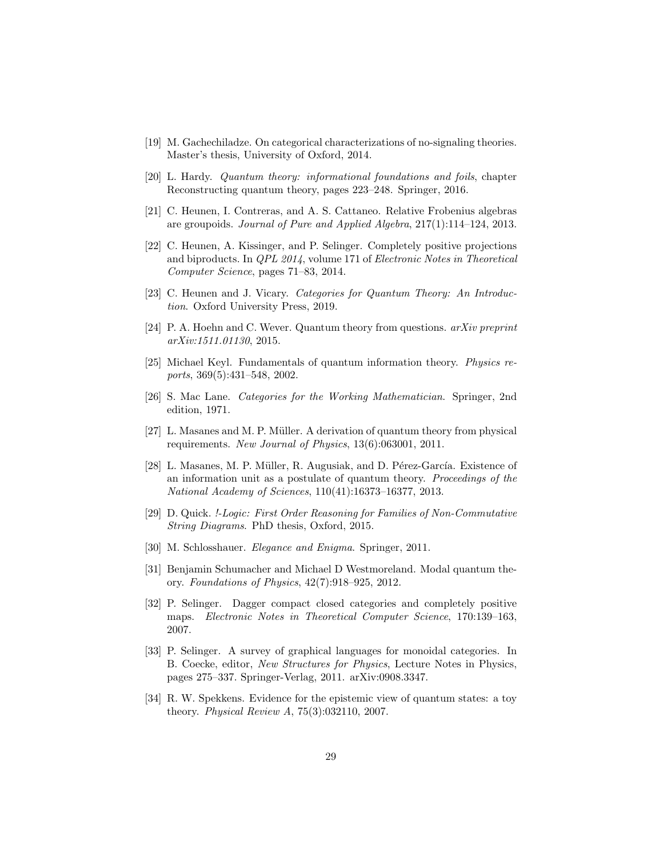- [19] M. Gachechiladze. On categorical characterizations of no-signaling theories. Master's thesis, University of Oxford, 2014.
- [20] L. Hardy. Quantum theory: informational foundations and foils, chapter Reconstructing quantum theory, pages 223–248. Springer, 2016.
- [21] C. Heunen, I. Contreras, and A. S. Cattaneo. Relative Frobenius algebras are groupoids. Journal of Pure and Applied Algebra, 217(1):114–124, 2013.
- [22] C. Heunen, A. Kissinger, and P. Selinger. Completely positive projections and biproducts. In QPL 2014, volume 171 of Electronic Notes in Theoretical Computer Science, pages 71–83, 2014.
- [23] C. Heunen and J. Vicary. Categories for Quantum Theory: An Introduction. Oxford University Press, 2019.
- [24] P. A. Hoehn and C. Wever. Quantum theory from questions. arXiv preprint arXiv:1511.01130, 2015.
- [25] Michael Keyl. Fundamentals of quantum information theory. Physics reports, 369(5):431–548, 2002.
- [26] S. Mac Lane. Categories for the Working Mathematician. Springer, 2nd edition, 1971.
- [27] L. Masanes and M. P. Müller. A derivation of quantum theory from physical requirements. New Journal of Physics, 13(6):063001, 2011.
- [28] L. Masanes, M. P. Müller, R. Augusiak, and D. Pérez-García. Existence of an information unit as a postulate of quantum theory. Proceedings of the National Academy of Sciences, 110(41):16373–16377, 2013.
- [29] D. Quick. !-Logic: First Order Reasoning for Families of Non-Commutative String Diagrams. PhD thesis, Oxford, 2015.
- [30] M. Schlosshauer. Elegance and Enigma. Springer, 2011.
- [31] Benjamin Schumacher and Michael D Westmoreland. Modal quantum theory. Foundations of Physics, 42(7):918–925, 2012.
- [32] P. Selinger. Dagger compact closed categories and completely positive maps. Electronic Notes in Theoretical Computer Science, 170:139–163, 2007.
- [33] P. Selinger. A survey of graphical languages for monoidal categories. In B. Coecke, editor, New Structures for Physics, Lecture Notes in Physics, pages 275–337. Springer-Verlag, 2011. arXiv:0908.3347.
- [34] R. W. Spekkens. Evidence for the epistemic view of quantum states: a toy theory. Physical Review A, 75(3):032110, 2007.